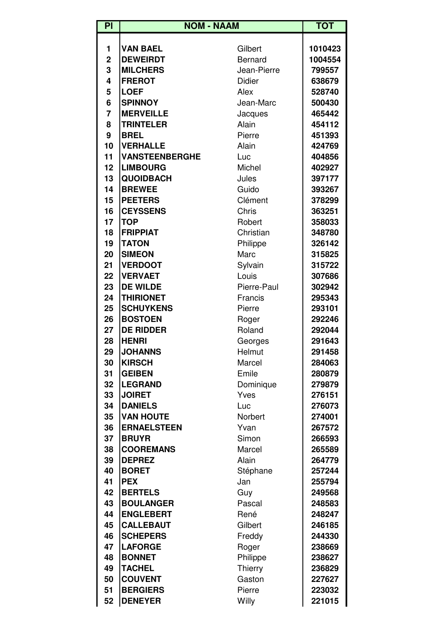| $\overline{P}$ | <b>NOM - NAAM</b>     |                | <b>TOT</b> |
|----------------|-----------------------|----------------|------------|
|                |                       |                |            |
| 1              | <b>VAN BAEL</b>       | Gilbert        | 1010423    |
| $\overline{2}$ | <b>DEWEIRDT</b>       | <b>Bernard</b> | 1004554    |
| 3              | <b>MILCHERS</b>       | Jean-Pierre    | 799557     |
| 4              | <b>FREROT</b>         | <b>Didier</b>  | 638679     |
| 5              | <b>LOEF</b>           | Alex           | 528740     |
| 6              | <b>SPINNOY</b>        | Jean-Marc      | 500430     |
| $\overline{7}$ | <b>MERVEILLE</b>      | Jacques        | 465442     |
| 8              | <b>TRINTELER</b>      | Alain          | 454112     |
| 9              | <b>BREL</b>           | Pierre         | 451393     |
| 10             | <b>VERHALLE</b>       | Alain          | 424769     |
| 11             | <b>VANSTEENBERGHE</b> | Luc            | 404856     |
| 12             | <b>LIMBOURG</b>       | Michel         | 402927     |
| 13             | <b>QUOIDBACH</b>      | Jules          | 397177     |
| 14             | <b>BREWEE</b>         | Guido          | 393267     |
| 15             | <b>PEETERS</b>        | Clément        | 378299     |
| 16             | <b>CEYSSENS</b>       | Chris          | 363251     |
| 17             | <b>TOP</b>            | Robert         | 358033     |
| 18             | <b>FRIPPIAT</b>       | Christian      | 348780     |
| 19             | <b>TATON</b>          | Philippe       | 326142     |
| 20             | <b>SIMEON</b>         | Marc           | 315825     |
| 21             | <b>VERDOOT</b>        | Sylvain        | 315722     |
| 22             | <b>VERVAET</b>        | Louis          | 307686     |
| 23             | <b>DE WILDE</b>       | Pierre-Paul    | 302942     |
| 24             | <b>THIRIONET</b>      | Francis        | 295343     |
| 25             | <b>SCHUYKENS</b>      | Pierre         | 293101     |
| 26             | <b>BOSTOEN</b>        | Roger          | 292246     |
| 27             | <b>DE RIDDER</b>      | Roland         | 292044     |
| 28             | <b>HENRI</b>          | Georges        | 291643     |
| 29             | <b>JOHANNS</b>        | Helmut         | 291458     |
| 30             | <b>KIRSCH</b>         | Marcel         | 284063     |
| 31             | <b>GEIBEN</b>         | Emile          | 280879     |
| 32             | <b>LEGRAND</b>        | Dominique      | 279879     |
| 33             | <b>JOIRET</b>         | Yves           | 276151     |
| 34             | <b>DANIELS</b>        | Luc            | 276073     |
| 35             | <b>VAN HOUTE</b>      | Norbert        | 274001     |
| 36             | <b>ERNAELSTEEN</b>    | Yvan           | 267572     |
| 37             | <b>BRUYR</b>          | Simon          | 266593     |
| 38             | <b>COOREMANS</b>      | Marcel         | 265589     |
| 39             | <b>DEPREZ</b>         | Alain          | 264779     |
| 40             | <b>BORET</b>          | Stéphane       | 257244     |
| 41             | <b>PEX</b>            | Jan            | 255794     |
| 42             | <b>BERTELS</b>        | Guy            | 249568     |
| 43             | <b>BOULANGER</b>      | Pascal         | 248583     |
| 44             | <b>ENGLEBERT</b>      | René           | 248247     |
| 45             | <b>CALLEBAUT</b>      | Gilbert        | 246185     |
| 46             | <b>SCHEPERS</b>       | Freddy         | 244330     |
| 47             | <b>LAFORGE</b>        | Roger          | 238669     |
| 48             | <b>BONNET</b>         | Philippe       | 238627     |
| 49             | <b>TACHEL</b>         | Thierry        | 236829     |
| 50             | <b>COUVENT</b>        | Gaston         | 227627     |
| 51             | <b>BERGIERS</b>       | Pierre         | 223032     |
| 52             | <b>DENEYER</b>        | Willy          | 221015     |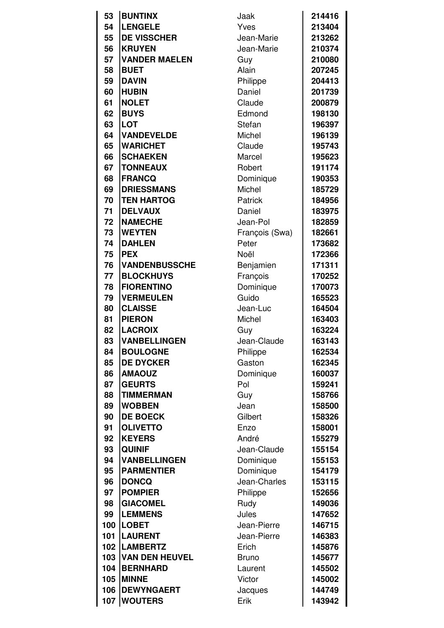| 53  | <b>BUNTINX</b>        | Jaak           | 214416 |
|-----|-----------------------|----------------|--------|
| 54  | <b>LENGELE</b>        | Yves           | 213404 |
|     | <b>DE VISSCHER</b>    |                |        |
| 55  |                       | Jean-Marie     | 213262 |
| 56  | <b>KRUYEN</b>         | Jean-Marie     | 210374 |
| 57  | <b>VANDER MAELEN</b>  | Guy            | 210080 |
| 58  | <b>BUET</b>           | Alain          | 207245 |
| 59  | <b>DAVIN</b>          | Philippe       | 204413 |
| 60  | <b>HUBIN</b>          | Daniel         | 201739 |
| 61  | <b>NOLET</b>          | Claude         | 200879 |
| 62  | <b>BUYS</b>           | Edmond         | 198130 |
| 63  | <b>LOT</b>            | Stefan         | 196397 |
| 64  | <b>VANDEVELDE</b>     | Michel         | 196139 |
| 65  | <b>WARICHET</b>       | Claude         | 195743 |
| 66  | <b>SCHAEKEN</b>       | Marcel         | 195623 |
| 67  | <b>TONNEAUX</b>       | Robert         | 191174 |
| 68  | <b>FRANCQ</b>         | Dominique      | 190353 |
| 69  | <b>DRIESSMANS</b>     | Michel         | 185729 |
| 70  | <b>TEN HARTOG</b>     | Patrick        | 184956 |
| 71  | <b>DELVAUX</b>        | Daniel         | 183975 |
| 72  | <b>NAMECHE</b>        | Jean-Pol       | 182859 |
| 73  | <b>WEYTEN</b>         | François (Swa) | 182661 |
| 74  | <b>DAHLEN</b>         | Peter          | 173682 |
| 75  | <b>PEX</b>            | Noël           | 172366 |
| 76  | <b>VANDENBUSSCHE</b>  | Benjamien      | 171311 |
| 77  | <b>BLOCKHUYS</b>      | François       | 170252 |
| 78  | <b>FIORENTINO</b>     | Dominique      | 170073 |
| 79  | <b>VERMEULEN</b>      | Guido          | 165523 |
| 80  | <b>CLAISSE</b>        | Jean-Luc       | 164504 |
| 81  | <b>PIERON</b>         | Michel         | 163403 |
| 82  | <b>LACROIX</b>        | Guy            | 163224 |
| 83  | <b>VANBELLINGEN</b>   | Jean-Claude    | 163143 |
| 84  | <b>BOULOGNE</b>       | Philippe       | 162534 |
| 85  | <b>DE DYCKER</b>      | Gaston         | 162345 |
| 86  | <b>AMAOUZ</b>         | Dominique      | 160037 |
| 87  | <b>GEURTS</b>         | Pol            | 159241 |
| 88  | <b>TIMMERMAN</b>      | Guy            | 158766 |
| 89  | <b>WOBBEN</b>         | Jean           | 158500 |
| 90  | <b>DE BOECK</b>       | Gilbert        | 158326 |
| 91  | <b>OLIVETTO</b>       | Enzo           | 158001 |
| 92  | <b>KEYERS</b>         | André          | 155279 |
| 93  | <b>QUINIF</b>         | Jean-Claude    | 155154 |
| 94  | <b>VANBELLINGEN</b>   | Dominique      | 155153 |
| 95  | <b>PARMENTIER</b>     | Dominique      | 154179 |
| 96  | <b>DONCQ</b>          | Jean-Charles   | 153115 |
| 97  | <b>POMPIER</b>        | Philippe       | 152656 |
| 98  | <b>GIACOMEL</b>       | Rudy           | 149036 |
| 99  | <b>LEMMENS</b>        | Jules          | 147652 |
| 100 | <b>LOBET</b>          | Jean-Pierre    | 146715 |
| 101 | <b>LAURENT</b>        | Jean-Pierre    | 146383 |
| 102 | <b>LAMBERTZ</b>       | Erich          | 145876 |
| 103 | <b>VAN DEN HEUVEL</b> | <b>Bruno</b>   | 145677 |
| 104 | <b>BERNHARD</b>       | Laurent        | 145502 |
| 105 | <b>MINNE</b>          | Victor         | 145002 |
| 106 | <b>DEWYNGAERT</b>     | Jacques        | 144749 |
| 107 | <b>WOUTERS</b>        | Erik           | 143942 |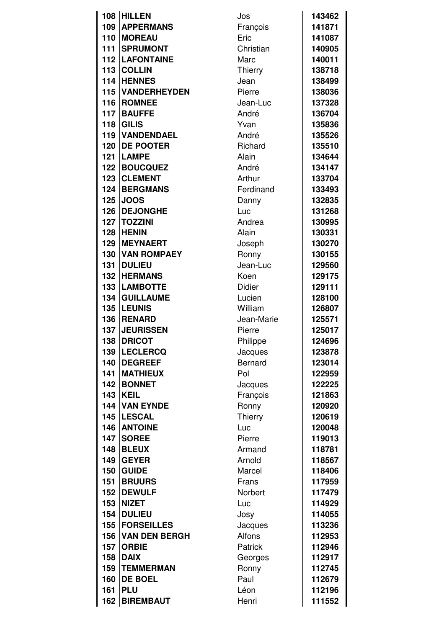|     | 108 HILLEN           | Jos            | 143462           |
|-----|----------------------|----------------|------------------|
| 109 | <b>APPERMANS</b>     | François       | 141871           |
| 110 | <b>MOREAU</b>        | Eric           | 141087           |
| 111 | <b>SPRUMONT</b>      | Christian      | 140905           |
| 112 | <b>LAFONTAINE</b>    | Marc           | 140011           |
| 113 | <b>COLLIN</b>        |                | 138718           |
| 114 | <b>HENNES</b>        | <b>Thierry</b> |                  |
| 115 | <b>VANDERHEYDEN</b>  | Jean<br>Pierre | 138499           |
| 116 | <b>ROMNEE</b>        | Jean-Luc       | 138036<br>137328 |
| 117 | <b>BAUFFE</b>        | André          | 136704           |
| 118 | <b>GILIS</b>         | Yvan           | 135836           |
| 119 | <b>VANDENDAEL</b>    | André          | 135526           |
| 120 | <b>DE POOTER</b>     | Richard        | 135510           |
| 121 | <b>LAMPE</b>         | Alain          | 134644           |
| 122 | <b>BOUCQUEZ</b>      | André          | 134147           |
| 123 | <b>CLEMENT</b>       | Arthur         | 133704           |
| 124 | <b>BERGMANS</b>      | Ferdinand      | 133493           |
| 125 | <b>JOOS</b>          | Danny          | 132835           |
| 126 | <b>DEJONGHE</b>      | Luc            | 131268           |
| 127 | <b>TOZZINI</b>       | Andrea         | 130995           |
| 128 | <b>HENIN</b>         | Alain          | 130331           |
| 129 | <b>MEYNAERT</b>      | Joseph         | 130270           |
| 130 | <b>VAN ROMPAEY</b>   | Ronny          | 130155           |
| 131 | <b>DULIEU</b>        | Jean-Luc       | 129560           |
| 132 | <b>HERMANS</b>       | Koen           | 129175           |
| 133 | <b>LAMBOTTE</b>      | <b>Didier</b>  | 129111           |
| 134 | <b>GUILLAUME</b>     | Lucien         | 128100           |
| 135 | <b>LEUNIS</b>        | William        | 126807           |
| 136 | <b>RENARD</b>        | Jean-Marie     | 125571           |
| 137 | <b>JEURISSEN</b>     | Pierre         | 125017           |
| 138 | <b>DRICOT</b>        | Philippe       | 124696           |
| 139 | <b>LECLERCQ</b>      | Jacques        | 123878           |
| 140 | <b>DEGREEF</b>       | <b>Bernard</b> | 123014           |
| 141 | <b>MATHIEUX</b>      | Pol            | 122959           |
| 142 | <b>BONNET</b>        | Jacques        | 122225           |
| 143 | <b>KEIL</b>          | François       | 121863           |
| 144 | <b>VAN EYNDE</b>     | Ronny          | 120920           |
| 145 | <b>LESCAL</b>        | Thierry        | 120619           |
| 146 | <b>ANTOINE</b>       | Luc            | 120048           |
| 147 | <b>SOREE</b>         | Pierre         | 119013           |
| 148 | <b>BLEUX</b>         | Armand         | 118781           |
| 149 | <b>GEYER</b>         | Arnold         | 118567           |
| 150 | <b>GUIDE</b>         | Marcel         | 118406           |
| 151 | <b>BRUURS</b>        | Frans          | 117959           |
| 152 | <b>DEWULF</b>        | Norbert        | 117479           |
| 153 | <b>NIZET</b>         | Luc            | 114929           |
| 154 | <b>DULIEU</b>        | Josy           | 114055           |
| 155 | <b>FORSEILLES</b>    | Jacques        | 113236           |
| 156 | <b>VAN DEN BERGH</b> | Alfons         | 112953           |
| 157 | <b>ORBIE</b>         | Patrick        | 112946           |
| 158 | <b>DAIX</b>          | Georges        | 112917           |
| 159 | <b>TEMMERMAN</b>     | Ronny          | 112745           |
| 160 | <b>DE BOEL</b>       | Paul           | 112679           |
| 161 | <b>PLU</b>           | Léon           | 112196           |
| 162 | <b>BIREMBAUT</b>     | Henri          | 111552           |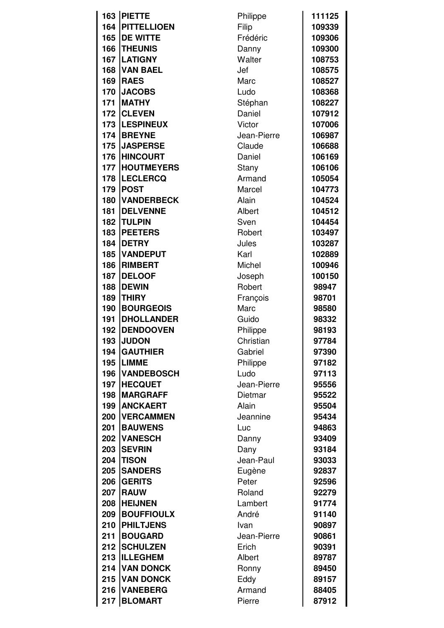| 163 | <b>PIETTE</b>      | Philippe    | 111125 |
|-----|--------------------|-------------|--------|
| 164 | <b>PITTELLIOEN</b> | Filip       | 109339 |
| 165 | <b>DE WITTE</b>    | Frédéric    | 109306 |
| 166 | <b>THEUNIS</b>     | Danny       | 109300 |
| 167 | <b>LATIGNY</b>     | Walter      | 108753 |
| 168 | <b>VAN BAEL</b>    | Jef         | 108575 |
| 169 | <b>RAES</b>        | Marc        | 108527 |
| 170 | <b>JACOBS</b>      | Ludo        | 108368 |
| 171 | <b>MATHY</b>       | Stéphan     | 108227 |
| 172 | <b>CLEVEN</b>      | Daniel      | 107912 |
| 173 | <b>LESPINEUX</b>   | Victor      | 107006 |
| 174 | <b>BREYNE</b>      | Jean-Pierre | 106987 |
| 175 | <b>JASPERSE</b>    | Claude      | 106688 |
| 176 | <b>HINCOURT</b>    | Daniel      | 106169 |
| 177 | <b>HOUTMEYERS</b>  | Stany       | 106106 |
| 178 | <b>LECLERCQ</b>    | Armand      | 105054 |
| 179 | <b>POST</b>        | Marcel      | 104773 |
| 180 | <b>VANDERBECK</b>  | Alain       | 104524 |
| 181 | <b>DELVENNE</b>    | Albert      | 104512 |
| 182 | <b>TULPIN</b>      | Sven        | 104454 |
| 183 | <b>PEETERS</b>     | Robert      | 103497 |
| 184 | <b>DETRY</b>       | Jules       | 103287 |
| 185 | <b>VANDEPUT</b>    | Karl        | 102889 |
| 186 | <b>RIMBERT</b>     | Michel      | 100946 |
| 187 | <b>DELOOF</b>      | Joseph      | 100150 |
| 188 | <b>DEWIN</b>       | Robert      | 98947  |
| 189 | <b>THIRY</b>       | François    | 98701  |
| 190 | <b>BOURGEOIS</b>   | Marc        | 98580  |
| 191 | <b>DHOLLANDER</b>  | Guido       | 98332  |
| 192 | <b>DENDOOVEN</b>   | Philippe    | 98193  |
| 193 | <b>JUDON</b>       | Christian   | 97784  |
| 194 | <b>GAUTHIER</b>    | Gabriel     | 97390  |
| 195 | <b>LIMME</b>       | Philippe    | 97182  |
| 196 | <b>VANDEBOSCH</b>  | Ludo        | 97113  |
| 197 | <b>HECQUET</b>     | Jean-Pierre | 95556  |
| 198 | <b>MARGRAFF</b>    | Dietmar     | 95522  |
| 199 | <b>ANCKAERT</b>    | Alain       | 95504  |
| 200 | <b>VERCAMMEN</b>   | Jeannine    | 95434  |
| 201 | <b>BAUWENS</b>     | Luc         | 94863  |
| 202 | <b>VANESCH</b>     | Danny       | 93409  |
| 203 | <b>SEVRIN</b>      | Dany        | 93184  |
| 204 | <b>TISON</b>       | Jean-Paul   | 93033  |
| 205 | <b>SANDERS</b>     | Eugène      | 92837  |
| 206 | <b>GERITS</b>      | Peter       | 92596  |
| 207 | <b>RAUW</b>        | Roland      | 92279  |
| 208 | <b>HEIJNEN</b>     | Lambert     | 91774  |
| 209 | <b>BOUFFIOULX</b>  | André       | 91140  |
| 210 | <b>PHILTJENS</b>   | Ivan        | 90897  |
| 211 | <b>BOUGARD</b>     | Jean-Pierre | 90861  |
| 212 | <b>SCHULZEN</b>    | Erich       | 90391  |
| 213 | <b>ILLEGHEM</b>    | Albert      | 89787  |
| 214 | <b>VAN DONCK</b>   | Ronny       | 89450  |
| 215 | <b>VAN DONCK</b>   | Eddy        | 89157  |
| 216 | <b>VANEBERG</b>    | Armand      | 88405  |
| 217 | <b>BLOMART</b>     | Pierre      | 87912  |
|     |                    |             |        |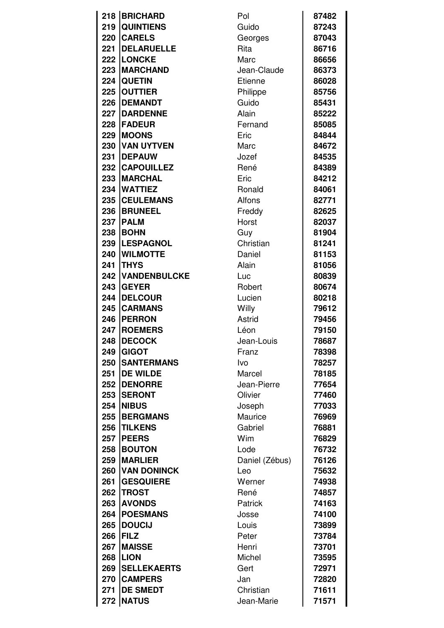| 218 | <b>BRICHARD</b>     | Pol            | 87482 |
|-----|---------------------|----------------|-------|
| 219 | <b>QUINTIENS</b>    | Guido          | 87243 |
| 220 | <b>CARELS</b>       | Georges        | 87043 |
| 221 | <b>DELARUELLE</b>   | Rita           | 86716 |
|     | 222 LONCKE          | Marc           | 86656 |
| 223 | <b>MARCHAND</b>     | Jean-Claude    | 86373 |
| 224 | <b>QUETIN</b>       | Etienne        | 86028 |
| 225 | <b>OUTTIER</b>      | Philippe       | 85756 |
| 226 | <b>DEMANDT</b>      | Guido          | 85431 |
| 227 | <b>DARDENNE</b>     | Alain          | 85222 |
| 228 | <b>FADEUR</b>       | Fernand        | 85085 |
| 229 | <b>MOONS</b>        | Eric           | 84844 |
| 230 | <b>VAN UYTVEN</b>   | Marc           |       |
|     |                     |                | 84672 |
| 231 | <b>IDEPAUW</b>      | Jozef          | 84535 |
|     | 232 CAPOUILLEZ      | René           | 84389 |
| 233 | <b>MARCHAL</b>      | Eric           | 84212 |
| 234 | <b>WATTIEZ</b>      | Ronald         | 84061 |
| 235 | <b>CEULEMANS</b>    | Alfons         | 82771 |
| 236 | <b>BRUNEEL</b>      | Freddy         | 82625 |
|     | <b>237 PALM</b>     | Horst          | 82037 |
| 238 | <b>BOHN</b>         | Guy            | 81904 |
| 239 | <b>LESPAGNOL</b>    | Christian      | 81241 |
| 240 | <b>WILMOTTE</b>     | Daniel         | 81153 |
| 241 | <b>THYS</b>         | Alain          | 81056 |
| 242 | <b>VANDENBULCKE</b> | Luc            | 80839 |
| 243 | <b>GEYER</b>        | Robert         | 80674 |
| 244 | <b>DELCOUR</b>      | Lucien         | 80218 |
|     | 245 CARMANS         | Willy          | 79612 |
| 246 | <b>PERRON</b>       | Astrid         | 79456 |
| 247 | <b>ROEMERS</b>      | Léon           | 79150 |
| 248 | <b>IDECOCK</b>      | Jean-Louis     | 78687 |
| 249 | <b>GIGOT</b>        | Franz          | 78398 |
| 250 | <b>SANTERMANS</b>   | Ivo            | 78257 |
| 251 | <b>DE WILDE</b>     | Marcel         | 78185 |
| 252 | <b>DENORRE</b>      | Jean-Pierre    | 77654 |
| 253 | <b>SERONT</b>       | Olivier        | 77460 |
| 254 | <b>NIBUS</b>        | Joseph         | 77033 |
| 255 | <b>BERGMANS</b>     | Maurice        | 76969 |
| 256 | <b>TILKENS</b>      | Gabriel        | 76881 |
| 257 | <b>PEERS</b>        | Wim            | 76829 |
| 258 | <b>BOUTON</b>       | Lode           | 76732 |
| 259 | <b>MARLIER</b>      |                |       |
|     |                     | Daniel (Zébus) | 76126 |
| 260 | <b>VAN DONINCK</b>  | Leo            | 75632 |
| 261 | <b>GESQUIERE</b>    | Werner         | 74938 |
|     | 262   TROST         | René           | 74857 |
| 263 | <b>AVONDS</b>       | Patrick        | 74163 |
| 264 | <b>POESMANS</b>     | Josse          | 74100 |
| 265 | <b>DOUCIJ</b>       | Louis          | 73899 |
| 266 | <b>FILZ</b>         | Peter          | 73784 |
| 267 | <b>MAISSE</b>       | Henri          | 73701 |
| 268 | <b>LION</b>         | Michel         | 73595 |
| 269 | <b>SELLEKAERTS</b>  | Gert           | 72971 |
| 270 | <b>CAMPERS</b>      | Jan            | 72820 |
| 271 | <b>DE SMEDT</b>     | Christian      | 71611 |
|     | 272 NATUS           | Jean-Marie     | 71571 |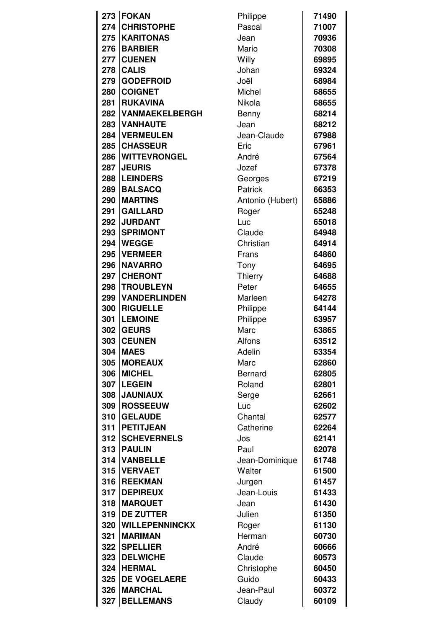| 273 | <b>FOKAN</b>          | Philippe         | 71490 |
|-----|-----------------------|------------------|-------|
| 274 | <b>CHRISTOPHE</b>     | Pascal           | 71007 |
| 275 | <b>KARITONAS</b>      | Jean             | 70936 |
| 276 | <b>BARBIER</b>        | Mario            | 70308 |
| 277 | <b>CUENEN</b>         | Willy            | 69895 |
| 278 | <b>CALIS</b>          | Johan            | 69324 |
| 279 | <b>GODEFROID</b>      | Joël             | 68984 |
| 280 | <b>COIGNET</b>        | Michel           | 68655 |
| 281 | <b>RUKAVINA</b>       | Nikola           | 68655 |
| 282 | VANMAEKELBERGH        | Benny            | 68214 |
| 283 | <b>VANHAUTE</b>       | Jean             | 68212 |
| 284 | <b>VERMEULEN</b>      | Jean-Claude      | 67988 |
| 285 | <b>CHASSEUR</b>       | Eric             | 67961 |
| 286 | <b>WITTEVRONGEL</b>   | André            | 67564 |
| 287 | <b>JEURIS</b>         | Jozef            | 67378 |
| 288 | <b>LEINDERS</b>       | Georges          | 67219 |
| 289 | <b>BALSACQ</b>        | Patrick          | 66353 |
| 290 | <b>MARTINS</b>        | Antonio (Hubert) | 65886 |
| 291 | <b>GAILLARD</b>       | Roger            | 65248 |
| 292 | <b>JURDANT</b>        | Luc              | 65018 |
| 293 | <b>SPRIMONT</b>       | Claude           | 64948 |
| 294 | <b>WEGGE</b>          | Christian        | 64914 |
| 295 | <b>VERMEER</b>        | Frans            | 64860 |
| 296 | <b>NAVARRO</b>        | Tony             | 64695 |
| 297 | <b>CHERONT</b>        | Thierry          | 64688 |
| 298 | <b>TROUBLEYN</b>      | Peter            | 64655 |
| 299 | <b>VANDERLINDEN</b>   | Marleen          | 64278 |
| 300 | <b>RIGUELLE</b>       | Philippe         | 64144 |
| 301 | <b>LEMOINE</b>        | Philippe         | 63957 |
| 302 | <b>GEURS</b>          | Marc             | 63865 |
| 303 | <b>CEUNEN</b>         | Alfons           | 63512 |
| 304 | <b>MAES</b>           | Adelin           | 63354 |
| 305 | <b>MOREAUX</b>        | Marc             | 62860 |
| 306 | <b>MICHEL</b>         | <b>Bernard</b>   | 62805 |
| 307 | <b>LEGEIN</b>         | Roland           | 62801 |
| 308 | <b>JAUNIAUX</b>       | Serge            | 62661 |
| 309 | <b>ROSSEEUW</b>       | Luc              | 62602 |
| 310 | <b>GELAUDE</b>        | Chantal          | 62577 |
| 311 | <b>PETITJEAN</b>      | Catherine        | 62264 |
| 312 | <b>SCHEVERNELS</b>    | Jos              | 62141 |
| 313 | <b>PAULIN</b>         | Paul             | 62078 |
| 314 | <b>VANBELLE</b>       | Jean-Dominique   | 61748 |
| 315 | <b>VERVAET</b>        | Walter           | 61500 |
| 316 | <b>REEKMAN</b>        | Jurgen           | 61457 |
| 317 | <b>DEPIREUX</b>       | Jean-Louis       | 61433 |
| 318 | <b>MARQUET</b>        | Jean             | 61430 |
| 319 | <b>DE ZUTTER</b>      | Julien           | 61350 |
| 320 | <b>WILLEPENNINCKX</b> | Roger            | 61130 |
| 321 | <b>MARIMAN</b>        | Herman           | 60730 |
| 322 | <b>SPELLIER</b>       | André            | 60666 |
| 323 | <b>DELWICHE</b>       | Claude           | 60573 |
| 324 | <b>HERMAL</b>         | Christophe       | 60450 |
| 325 | <b>DE VOGELAERE</b>   | Guido            | 60433 |
| 326 | <b>MARCHAL</b>        | Jean-Paul        | 60372 |
| 327 | <b>BELLEMANS</b>      | Claudy           | 60109 |
|     |                       |                  |       |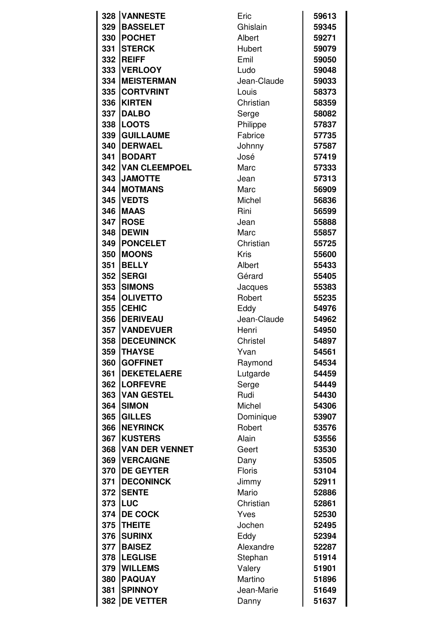|     | 328 VANNESTE             | Eric        | 59613 |
|-----|--------------------------|-------------|-------|
| 329 | <b>BASSELET</b>          | Ghislain    | 59345 |
| 330 | <b>POCHET</b>            | Albert      | 59271 |
| 331 | <b>STERCK</b>            | Hubert      | 59079 |
| 332 | <b>REIFF</b>             | Emil        | 59050 |
| 333 | <b>VERLOOY</b>           | Ludo        | 59048 |
| 334 | <b>MEISTERMAN</b>        | Jean-Claude | 59033 |
| 335 | <b>CORTVRINT</b>         | Louis       | 58373 |
| 336 | <b>KIRTEN</b>            | Christian   | 58359 |
| 337 | <b>DALBO</b>             | Serge       | 58082 |
| 338 | <b>LOOTS</b>             | Philippe    | 57837 |
| 339 | <b>GUILLAUME</b>         | Fabrice     | 57735 |
| 340 | <b>DERWAEL</b>           | Johnny      | 57587 |
| 341 | <b>BODART</b>            | José        | 57419 |
|     | <b>342 VAN CLEEMPOEL</b> | Marc        | 57333 |
| 343 | <b>JAMOTTE</b>           | Jean        | 57313 |
| 344 | <b>MOTMANS</b>           | Marc        | 56909 |
| 345 | <b>VEDTS</b>             | Michel      | 56836 |
| 346 | <b>MAAS</b>              | Rini        | 56599 |
| 347 | <b>ROSE</b>              | Jean        | 55888 |
| 348 | <b>DEWIN</b>             | Marc        | 55857 |
| 349 | <b>PONCELET</b>          | Christian   | 55725 |
| 350 | <b>MOONS</b>             | Kris        | 55600 |
| 351 | <b>BELLY</b>             | Albert      | 55433 |
| 352 | <b>SERGI</b>             | Gérard      | 55405 |
| 353 | <b>SIMONS</b>            | Jacques     | 55383 |
| 354 | <b>OLIVETTO</b>          | Robert      | 55235 |
| 355 | <b>CEHIC</b>             | Eddy        | 54976 |
| 356 | <b>DERIVEAU</b>          | Jean-Claude | 54962 |
| 357 | <b>VANDEVUER</b>         | Henri       | 54950 |
| 358 | <b>DECEUNINCK</b>        | Christel    | 54897 |
| 359 | <b>THAYSE</b>            | Yvan        | 54561 |
| 360 | <b>GOFFINET</b>          | Raymond     | 54534 |
| 361 | <b>DEKETELAERE</b>       | Lutgarde    | 54459 |
| 362 | <b>LORFEVRE</b>          | Serge       | 54449 |
| 363 | <b>VAN GESTEL</b>        | Rudi        | 54430 |
| 364 | <b>SIMON</b>             | Michel      | 54306 |
| 365 | <b>GILLES</b>            | Dominique   | 53907 |
| 366 | <b>NEYRINCK</b>          | Robert      | 53576 |
| 367 | <b>KUSTERS</b>           | Alain       | 53556 |
| 368 | <b>VAN DER VENNET</b>    | Geert       | 53530 |
| 369 | <b>VERCAIGNE</b>         | Dany        | 53505 |
| 370 | <b>DE GEYTER</b>         | Floris      | 53104 |
| 371 | <b>DECONINCK</b>         | Jimmy       | 52911 |
| 372 | <b>ISENTE</b>            | Mario       | 52886 |
| 373 | <b>ILUC</b>              | Christian   | 52861 |
| 374 | <b>DE COCK</b>           | Yves        | 52530 |
| 375 | <b>THEITE</b>            | Jochen      | 52495 |
| 376 | <b>SURINX</b>            | Eddy        | 52394 |
| 377 | <b>BAISEZ</b>            | Alexandre   | 52287 |
| 378 | <b>LEGLISE</b>           | Stephan     | 51914 |
| 379 | <b>WILLEMS</b>           | Valery      | 51901 |
| 380 | <b>PAQUAY</b>            | Martino     | 51896 |
| 381 | <b>SPINNOY</b>           | Jean-Marie  | 51649 |
| 382 | <b>DE VETTER</b>         | Danny       | 51637 |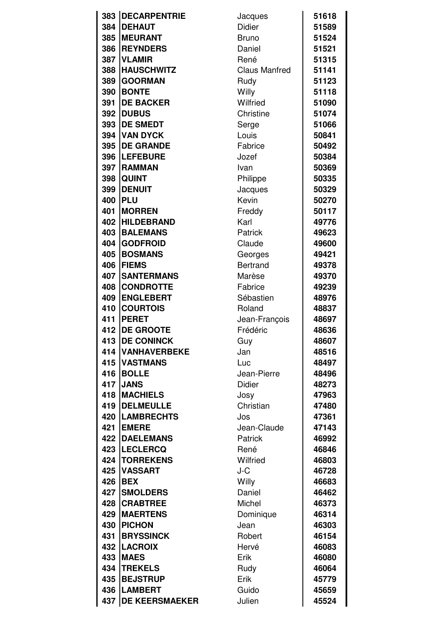| 383 | <b>DECARPENTRIE</b>     | Jacques              | 51618 |
|-----|-------------------------|----------------------|-------|
| 384 | <b>DEHAUT</b>           | Didier               | 51589 |
| 385 | <b>MEURANT</b>          | <b>Bruno</b>         | 51524 |
| 386 | <b>REYNDERS</b>         | Daniel               | 51521 |
| 387 | <b>VLAMIR</b>           | René                 | 51315 |
| 388 | <b>HAUSCHWITZ</b>       | <b>Claus Manfred</b> | 51141 |
| 389 | <b>GOORMAN</b>          | Rudy                 | 51123 |
| 390 | <b>BONTE</b>            | Willy                | 51118 |
| 391 | <b>DE BACKER</b>        | Wilfried             | 51090 |
| 392 | <b>DUBUS</b>            | Christine            | 51074 |
| 393 | <b>DE SMEDT</b>         | Serge                | 51066 |
| 394 | <b>VAN DYCK</b>         | Louis                | 50841 |
| 395 | <b>DE GRANDE</b>        | Fabrice              | 50492 |
| 396 | <b>LEFEBURE</b>         | Jozef                | 50384 |
| 397 | <b>RAMMAN</b>           | Ivan                 | 50369 |
| 398 | <b>QUINT</b>            | Philippe             | 50335 |
| 399 | <b>DENUIT</b>           | Jacques              | 50329 |
| 400 | <b>PLU</b>              | Kevin                | 50270 |
| 401 | <b>MORREN</b>           | Freddy               | 50117 |
| 402 | <b>HILDEBRAND</b>       | Karl                 | 49776 |
| 403 | <b>BALEMANS</b>         | Patrick              | 49623 |
| 404 | <b>GODFROID</b>         | Claude               | 49600 |
| 405 | <b>BOSMANS</b>          | Georges              | 49421 |
| 406 | <b>FIEMS</b>            | <b>Bertrand</b>      | 49378 |
| 407 | <b>SANTERMANS</b>       | Marèse               | 49370 |
| 408 | <b>CONDROTTE</b>        | Fabrice              | 49239 |
| 409 | <b>ENGLEBERT</b>        | Sébastien            | 48976 |
| 410 | <b>COURTOIS</b>         | Roland               | 48837 |
| 411 | <b>PERET</b>            | Jean-François        | 48697 |
| 412 | <b>DE GROOTE</b>        | Frédéric             | 48636 |
| 413 | <b>DE CONINCK</b>       | Guy                  | 48607 |
| 414 | <b>VANHAVERBEKE</b>     | Jan                  | 48516 |
| 415 | <b>VASTMANS</b>         | Luc                  | 48497 |
| 416 | <b>BOLLE</b>            | Jean-Pierre          | 48496 |
| 417 | <b>JANS</b>             | Didier               | 48273 |
| 418 | <b>MACHIELS</b>         | Josy                 | 47963 |
| 419 | <b>DELMEULLE</b>        | Christian            | 47480 |
|     | <b>420   LAMBRECHTS</b> | Jos                  | 47361 |
| 421 | <b>EMERE</b>            | Jean-Claude          | 47143 |
|     | <b>422 DAELEMANS</b>    | Patrick              | 46992 |
| 423 | <b>LECLERCQ</b>         | René                 | 46846 |
| 424 | <b>TORREKENS</b>        | Wilfried             | 46803 |
| 425 | <b>VASSART</b>          | J-C                  | 46728 |
| 426 | <b>BEX</b>              | Willy                | 46683 |
| 427 | <b>SMOLDERS</b>         | Daniel               | 46462 |
| 428 | <b>CRABTREE</b>         | Michel               | 46373 |
| 429 | <b>MAERTENS</b>         | Dominique            | 46314 |
| 430 | <b>PICHON</b>           | Jean                 | 46303 |
| 431 | <b>BRYSSINCK</b>        | Robert               | 46154 |
|     | 432   LACROIX           | Hervé                | 46083 |
| 433 | <b>MAES</b>             | Erik                 | 46080 |
| 434 | <b>TREKELS</b>          | Rudy                 | 46064 |
| 435 | <b>BEJSTRUP</b>         | Erik                 | 45779 |
| 436 | <b>LAMBERT</b>          | Guido                | 45659 |
| 437 | <b>DE KEERSMAEKER</b>   | Julien               | 45524 |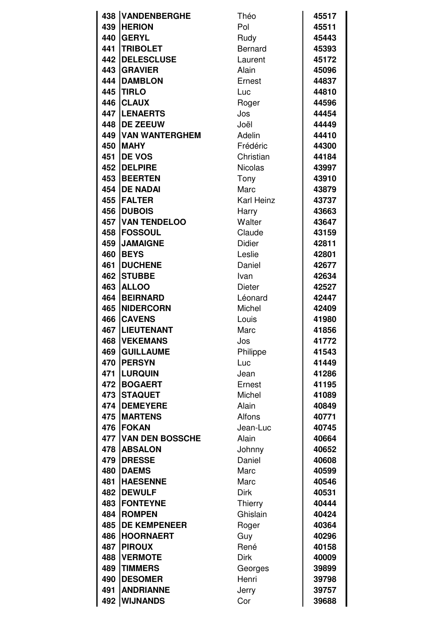|     | <b>438 VANDENBERGHE</b> | Théo              | 45517 |
|-----|-------------------------|-------------------|-------|
| 439 | <b>HERION</b>           | Pol               | 45511 |
| 440 | <b>IGERYL</b>           | Rudy              | 45443 |
| 441 | <b>TRIBOLET</b>         | <b>Bernard</b>    | 45393 |
|     | <b>442 DELESCLUSE</b>   | Laurent           | 45172 |
| 443 | <b>GRAVIER</b>          | Alain             | 45096 |
| 444 | <b>DAMBLON</b>          | Ernest            | 44837 |
| 445 | <b>TIRLO</b>            | Luc               | 44810 |
| 446 | <b>CLAUX</b>            | Roger             | 44596 |
|     | 447   LENAERTS          | Jos               | 44454 |
| 448 | <b>DE ZEEUW</b>         | Joël              | 44449 |
| 449 | <b>VAN WANTERGHEM</b>   | Adelin            | 44410 |
| 450 | <b>IMAHY</b>            | Frédéric          | 44300 |
| 451 | <b>IDE VOS</b>          | Christian         | 44184 |
| 452 | <b>DELPIRE</b>          | <b>Nicolas</b>    | 43997 |
| 453 | <b>BEERTEN</b>          | Tony              | 43910 |
| 454 | <b>DE NADAI</b>         | Marc              | 43879 |
| 455 | <b>FALTER</b>           | <b>Karl Heinz</b> | 43737 |
| 456 | <b>DUBOIS</b>           | Harry             | 43663 |
| 457 | <b>VAN TENDELOO</b>     | Walter            | 43647 |
| 458 | <b>FOSSOUL</b>          | Claude            | 43159 |
| 459 | <b>JAMAIGNE</b>         | <b>Didier</b>     | 42811 |
| 460 | <b>BEYS</b>             | Leslie            | 42801 |
| 461 | <b>DUCHENE</b>          | Daniel            | 42677 |
| 462 | <b>STUBBE</b>           | Ivan              | 42634 |
| 463 | <b>ALLOO</b>            | <b>Dieter</b>     | 42527 |
| 464 | <b>BEIRNARD</b>         | Léonard           | 42447 |
| 465 | <b>INIDERCORN</b>       | Michel            | 42409 |
| 466 | <b>CAVENS</b>           | Louis             | 41980 |
| 467 | <b>LIEUTENANT</b>       | Marc              | 41856 |
|     | <b>468 IVEKEMANS</b>    | Jos               | 41772 |
| 469 | <b>GUILLAUME</b>        | Philippe          | 41543 |
| 470 | <b>IPERSYN</b>          | Luc               | 41449 |
| 471 | <b>LURQUIN</b>          | Jean              | 41286 |
| 472 | <b>BOGAERT</b>          | Ernest            | 41195 |
| 473 | <b>STAQUET</b>          | Michel            | 41089 |
| 474 | <b>DEMEYERE</b>         | Alain             | 40849 |
| 475 | <b>MARTENS</b>          | Alfons            | 40771 |
| 476 | <b>IFOKAN</b>           | Jean-Luc          | 40745 |
|     | 477 VAN DEN BOSSCHE     | Alain             | 40664 |
| 478 | <b>ABSALON</b>          | Johnny            | 40652 |
| 479 | <b>DRESSE</b>           | Daniel            | 40608 |
| 480 | <b>DAEMS</b>            | Marc              | 40599 |
| 481 | <b>HAESENNE</b>         | Marc              | 40546 |
| 482 | <b>DEWULF</b>           | <b>Dirk</b>       | 40531 |
| 483 | <b>IFONTEYNE</b>        | <b>Thierry</b>    | 40444 |
| 484 | <b>ROMPEN</b>           | Ghislain          | 40424 |
| 485 | <b>DE KEMPENEER</b>     | Roger             | 40364 |
| 486 | <b>HOORNAERT</b>        | Guy               | 40296 |
| 487 | <b>PIROUX</b>           | René              | 40158 |
| 488 | <b>VERMOTE</b>          | <b>Dirk</b>       | 40009 |
| 489 | <b>TIMMERS</b>          | Georges           | 39899 |
| 490 | <b>DESOMER</b>          | Henri             | 39798 |
| 491 | <b>ANDRIANNE</b>        | Jerry             | 39757 |
| 492 | <b>WIJNANDS</b>         | Cor               | 39688 |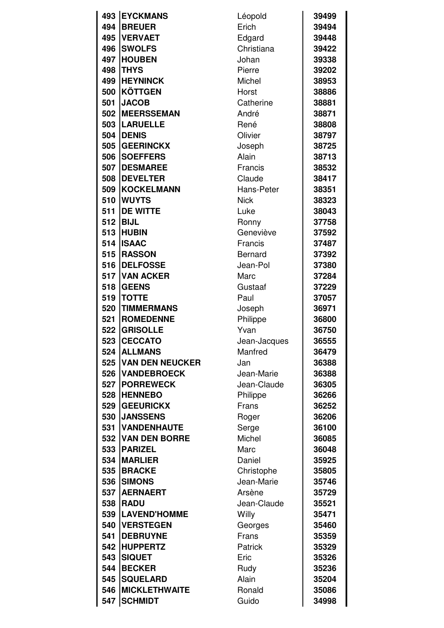|          | 493 EYCKMANS           | Léopold        | 39499 |
|----------|------------------------|----------------|-------|
| 494      | <b>BREUER</b>          | Erich          | 39494 |
| 495      | <b>IVERVAET</b>        | Edgard         | 39448 |
| 496      | <b>SWOLFS</b>          | Christiana     | 39422 |
| 497      | <b>HOUBEN</b>          | Johan          | 39338 |
| 498      | <b>THYS</b>            | Pierre         | 39202 |
| 499      | <b>HEYNINCK</b>        | Michel         | 38953 |
| 500      | <b>KÖTTGEN</b>         | Horst          | 38886 |
| 501      | <b>JACOB</b>           | Catherine      | 38881 |
| 502      | <b>MEERSSEMAN</b>      | André          | 38871 |
| 503      | <b>LARUELLE</b>        | René           | 38808 |
| 504      | <b>DENIS</b>           | Olivier        | 38797 |
| 505      | <b>GEERINCKX</b>       | Joseph         | 38725 |
| 506      | <b>SOEFFERS</b>        | Alain          | 38713 |
| 507      | <b>DESMAREE</b>        | Francis        | 38532 |
| 508      | <b>DEVELTER</b>        | Claude         | 38417 |
| 509      | <b>KOCKELMANN</b>      | Hans-Peter     | 38351 |
| 510      | <b>WUYTS</b>           | <b>Nick</b>    | 38323 |
| 511      | <b>DE WITTE</b>        | Luke           | 38043 |
|          | 512 BIJL               | Ronny          | 37758 |
| 513      | <b>HUBIN</b>           | Geneviève      | 37592 |
| 514      | <b>ISAAC</b>           | Francis        | 37487 |
| 515      | <b>RASSON</b>          | <b>Bernard</b> | 37392 |
| 516      | <b>DELFOSSE</b>        | Jean-Pol       | 37380 |
| 517      | <b>VAN ACKER</b>       | Marc           | 37284 |
| 518      | <b>GEENS</b>           | Gustaaf        | 37229 |
| 519      | <b>TOTTE</b>           | Paul           | 37057 |
| 520      | <b>TIMMERMANS</b>      | Joseph         | 36971 |
| 521      | <b>ROMEDENNE</b>       | Philippe       | 36800 |
| 522      | <b>GRISOLLE</b>        | Yvan           | 36750 |
| 523      | <b>CECCATO</b>         | Jean-Jacques   | 36555 |
|          | 524 ALLMANS            | Manfred        | 36479 |
| 525      | <b>VAN DEN NEUCKER</b> | Jan            | 36388 |
| 526      | <b>VANDEBROECK</b>     | Jean-Marie     | 36388 |
| 527      | <b>PORREWECK</b>       | Jean-Claude    | 36305 |
| 528      | <b>HENNEBO</b>         | Philippe       | 36266 |
| 529      | <b>GEEURICKX</b>       | Frans          | 36252 |
| 530      | <b>JANSSENS</b>        | Roger          | 36206 |
| 531      | <b>VANDENHAUTE</b>     | Serge          | 36100 |
| 532      | <b>VAN DEN BORRE</b>   | Michel         | 36085 |
| 533      | <b>PARIZEL</b>         | Marc           | 36048 |
|          | 534   MARLIER          | Daniel         | 35925 |
| 535      | <b>BRACKE</b>          | Christophe     | 35805 |
| 536<br>I | <b>SIMONS</b>          | Jean-Marie     | 35746 |
| 537      | <b>AERNAERT</b>        | Arsène         | 35729 |
| 538      | <b>RADU</b>            | Jean-Claude    | 35521 |
| 539      | <b>LAVEND'HOMME</b>    | Willy          | 35471 |
| 540      | <b>VERSTEGEN</b>       | Georges        | 35460 |
| 541      | <b>DEBRUYNE</b>        | Frans          | 35359 |
| 542      | <b>HUPPERTZ</b>        | <b>Patrick</b> | 35329 |
| 543<br>I | <b>SIQUET</b>          | Eric           | 35326 |
| 544      | <b>BECKER</b>          | Rudy           | 35236 |
| 545      | <b>SQUELARD</b>        | Alain          | 35204 |
| 546      | <b>MICKLETHWAITE</b>   | Ronald         | 35086 |
| 547      | <b>SCHMIDT</b>         | Guido          | 34998 |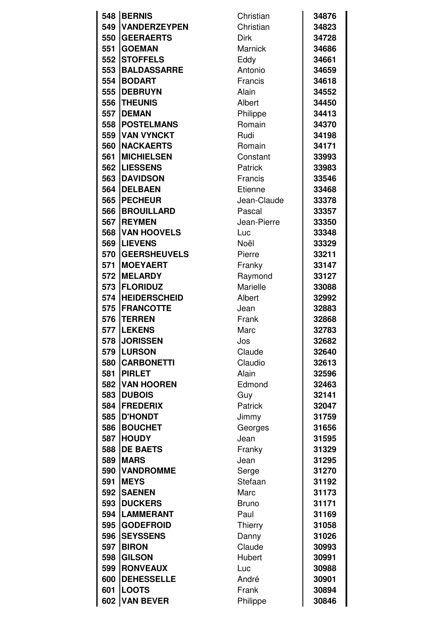|     | 548 BERNIS          | Christian    | 34876 |
|-----|---------------------|--------------|-------|
| 549 | <b>VANDERZEYPEN</b> | Christian    | 34823 |
| 550 | <b>GEERAERTS</b>    | <b>Dirk</b>  | 34728 |
| 551 | <b>GOEMAN</b>       | Marnick      | 34686 |
| 552 | <b>STOFFELS</b>     | Eddy         | 34661 |
| 553 | <b>BALDASSARRE</b>  | Antonio      | 34659 |
| 554 | <b>BODART</b>       | Francis      | 34618 |
| 555 | <b>IDEBRUYN</b>     | Alain        | 34552 |
| 556 | <b>THEUNIS</b>      | Albert       | 34450 |
| 557 | <b>DEMAN</b>        | Philippe     | 34413 |
| 558 | <b>POSTELMANS</b>   | Romain       | 34370 |
| 559 | <b>VAN VYNCKT</b>   | Rudi         | 34198 |
| 560 | <b>INACKAERTS</b>   |              |       |
|     |                     | Romain       | 34171 |
| 561 | <b>MICHIELSEN</b>   | Constant     | 33993 |
| 562 | <b>LIESSENS</b>     | Patrick      | 33983 |
| 563 | <b>DAVIDSON</b>     | Francis      | 33546 |
| 564 | <b>DELBAEN</b>      | Etienne      | 33468 |
| 565 | <b>PECHEUR</b>      | Jean-Claude  | 33378 |
| 566 | <b>BROUILLARD</b>   | Pascal       | 33357 |
| 567 | <b>IREYMEN</b>      | Jean-Pierre  | 33350 |
| 568 | <b>VAN HOOVELS</b>  | Luc          | 33348 |
| 569 | <b>ILIEVENS</b>     | Noël         | 33329 |
| 570 | <b>GEERSHEUVELS</b> | Pierre       | 33211 |
| 571 | <b>MOEYAERT</b>     | Franky       | 33147 |
| 572 | <b>IMELARDY</b>     | Raymond      | 33127 |
| 573 | <b>FLORIDUZ</b>     | Marielle     | 33088 |
| 574 | <b>HEIDERSCHEID</b> | Albert       | 32992 |
| 575 | <b>IFRANCOTTE</b>   | Jean         | 32883 |
| 576 | <b>ITERREN</b>      | Frank        | 32868 |
| 577 | <b>LEKENS</b>       | Marc         | 32783 |
| 578 | <b>JORISSEN</b>     | Jos          | 32682 |
|     | 579 LURSON          | Claude       | 32640 |
| 580 | <b>CARBONETTI</b>   | Claudio      | 32613 |
| 581 | <b>PIRLET</b>       | Alain        | 32596 |
|     | 582 VAN HOOREN      | Edmond       | 32463 |
| 583 | <b>DUBOIS</b>       | Guy          | 32141 |
| 584 | <b>FREDERIX</b>     | Patrick      | 32047 |
| 585 | <b>D'HONDT</b>      | Jimmy        | 31759 |
| 586 | <b>BOUCHET</b>      | Georges      | 31656 |
| 587 | <b>HOUDY</b>        | Jean         | 31595 |
| 588 | <b>DE BAETS</b>     | Franky       | 31329 |
| 589 | <b>MARS</b>         | Jean         | 31295 |
| 590 | <b>VANDROMME</b>    | Serge        | 31270 |
| 591 | <b>MEYS</b>         | Stefaan      | 31192 |
|     | 592   SAENEN        | Marc         | 31173 |
| 593 | <b>DUCKERS</b>      | <b>Bruno</b> | 31171 |
| 594 | <b>LAMMERANT</b>    | Paul         | 31169 |
| 595 | <b>GODEFROID</b>    | Thierry      | 31058 |
| 596 | <b>SEYSSENS</b>     | Danny        | 31026 |
| 597 | <b>BIRON</b>        | Claude       | 30993 |
| 598 | <b>GILSON</b>       | Hubert       | 30991 |
| 599 | <b>RONVEAUX</b>     | Luc          | 30988 |
| 600 | <b>DEHESSELLE</b>   | André        | 30901 |
| 601 | <b>LOOTS</b>        | Frank        | 30894 |
| 602 | <b>VAN BEVER</b>    | Philippe     | 30846 |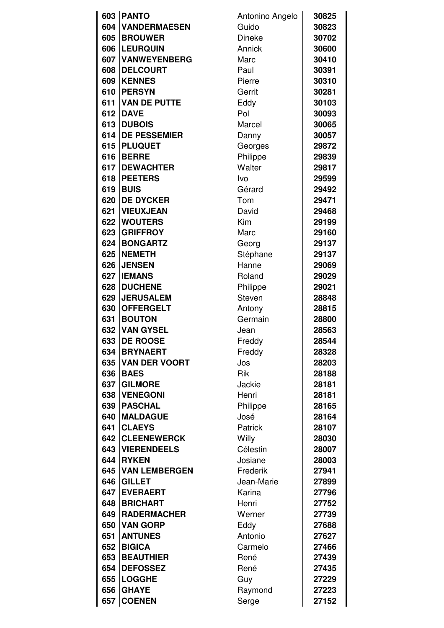|            | 603 PANTO                         | Antonino Angelo     | 30825          |
|------------|-----------------------------------|---------------------|----------------|
| 604        | <b>VANDERMAESEN</b>               | Guido               | 30823          |
| 605        | <b>BROUWER</b>                    | <b>Dineke</b>       | 30702          |
| 606        | <b>LEURQUIN</b>                   | Annick              | 30600          |
| 607        | <b>VANWEYENBERG</b>               | Marc                | 30410          |
| 608        | <b>DELCOURT</b>                   | Paul                | 30391          |
| 609        | <b>KENNES</b>                     | Pierre              | 30310          |
| 610        | <b>PERSYN</b>                     | Gerrit              | 30281          |
| 611        | <b>VAN DE PUTTE</b>               | Eddy                | 30103          |
| 612        | <b>DAVE</b>                       | Pol                 | 30093          |
| 613        | <b>DUBOIS</b>                     | Marcel              | 30065          |
| 614        | <b>DE PESSEMIER</b>               | Danny               | 30057          |
| 615        | <b>PLUQUET</b>                    | Georges             | 29872          |
| 616        | <b>BERRE</b>                      | Philippe            | 29839          |
| 617        | <b>DEWACHTER</b>                  | Walter              | 29817          |
| 618        | <b>IPEETERS</b>                   | Ivo                 | 29599          |
| 619        | <b>BUIS</b>                       | Gérard              | 29492          |
| 620        | <b>DE DYCKER</b>                  | Tom                 | 29471          |
| 621        | <b>VIEUXJEAN</b>                  | David               | 29468          |
| 622        | <b>WOUTERS</b>                    | Kim                 | 29199          |
| 623        | <b>GRIFFROY</b>                   | Marc                | 29160          |
| 624        | <b>BONGARTZ</b>                   | Georg               | 29137          |
| 625        | <b>NEMETH</b>                     | Stéphane            | 29137          |
| 626        | <b>JENSEN</b>                     | Hanne               | 29069          |
| 627        | <b>IEMANS</b>                     | Roland              | 29029          |
| 628        | <b>DUCHENE</b>                    | Philippe            | 29021          |
| 629        | <b>JERUSALEM</b>                  | Steven              | 28848          |
| 630        | <b>OFFERGELT</b>                  |                     | 28815          |
| 631        | <b>BOUTON</b>                     | Antony<br>Germain   | 28800          |
| 632        | <b>VAN GYSEL</b>                  | Jean                | 28563          |
| 633        | <b>DE ROOSE</b>                   |                     | 28544          |
| 634        | <b>BRYNAERT</b>                   | Freddy              | 28328          |
| 635        | <b>VAN DER VOORT</b>              | Freddy<br>Jos       | 28203          |
| 636        | <b>BAES</b>                       | <b>Rik</b>          | 28188          |
| 637        | <b>GILMORE</b>                    | Jackie              | 28181          |
|            | <b>VENEGONI</b>                   | Henri               |                |
| 638        | <b>PASCHAL</b>                    |                     | 28181          |
| 639<br>640 | <b>MALDAGUE</b>                   | Philippe            | 28165          |
| 641        | <b>CLAEYS</b>                     | José                | 28164          |
| 642        | <b>ICLEENEWERCK</b>               | <b>Patrick</b>      | 28107<br>28030 |
| 643        | <b>VIERENDEELS</b>                | Willy<br>Célestin   |                |
| 644        | <b>IRYKEN</b>                     |                     | 28007          |
| 645        | <b>VAN LEMBERGEN</b>              | Josiane<br>Frederik | 28003<br>27941 |
| 646        | <b>GILLET</b>                     | Jean-Marie          |                |
| 647        | <b>EVERAERT</b>                   | Karina              | 27899<br>27796 |
|            | <b>BRICHART</b>                   |                     |                |
| 648        |                                   | Henri               | 27752          |
| 649        | <b>RADERMACHER</b>                | Werner              | 27739          |
| 650<br>651 | <b>VAN GORP</b><br><b>ANTUNES</b> | Eddy<br>Antonio     | 27688          |
|            |                                   |                     | 27627          |
| 652        | <b>BIGICA</b>                     | Carmelo             | 27466          |
| 653        | <b>BEAUTHIER</b>                  | René                | 27439          |
| 654        | <b>DEFOSSEZ</b>                   | René                | 27435          |
| 655        | <b>LOGGHE</b>                     | Guy                 | 27229          |
| 656        | <b>GHAYE</b>                      | Raymond             | 27223          |
| 657        | <b>COENEN</b>                     | Serge               | 27152          |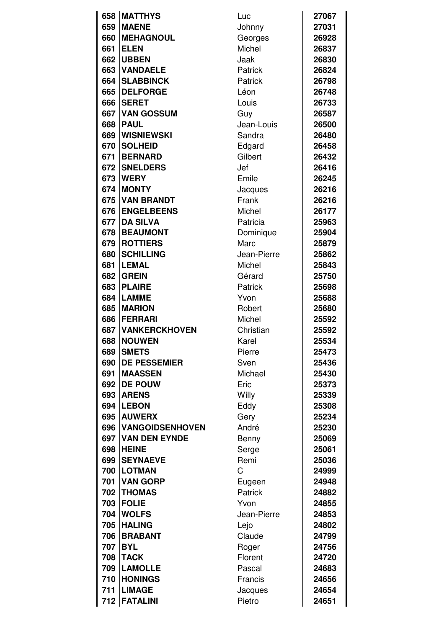| 658 | <b>IMATTHYS</b>        | Luc         | 27067 |
|-----|------------------------|-------------|-------|
| 659 | <b>MAENE</b>           | Johnny      | 27031 |
| 660 | <b>MEHAGNOUL</b>       | Georges     | 26928 |
| 661 | <b>ELEN</b>            | Michel      | 26837 |
| 662 | <b>UBBEN</b>           | Jaak        | 26830 |
| 663 | <b>VANDAELE</b>        | Patrick     | 26824 |
| 664 | <b>SLABBINCK</b>       | Patrick     | 26798 |
| 665 | <b>DELFORGE</b>        | Léon        | 26748 |
| 666 | <b>SERET</b>           | Louis       | 26733 |
| 667 | <b>VAN GOSSUM</b>      | Guy         | 26587 |
| 668 | <b>PAUL</b>            | Jean-Louis  | 26500 |
| 669 | <b>WISNIEWSKI</b>      | Sandra      | 26480 |
| 670 | <b>SOLHEID</b>         | Edgard      | 26458 |
| 671 | <b>BERNARD</b>         | Gilbert     | 26432 |
| 672 | <b>SNELDERS</b>        | Jef         | 26416 |
| 673 | <b>IWERY</b>           | Emile       | 26245 |
| 674 | <b>IMONTY</b>          | Jacques     | 26216 |
| 675 | <b>VAN BRANDT</b>      | Frank       | 26216 |
| 676 | <b>ENGELBEENS</b>      | Michel      | 26177 |
| 677 | <b>DA SILVA</b>        | Patricia    | 25963 |
| 678 | <b>BEAUMONT</b>        | Dominique   | 25904 |
| 679 | <b>ROTTIERS</b>        | Marc        | 25879 |
| 680 | <b>SCHILLING</b>       | Jean-Pierre | 25862 |
| 681 | <b>LEMAL</b>           | Michel      | 25843 |
| 682 | <b>GREIN</b>           | Gérard      | 25750 |
| 683 | <b>PLAIRE</b>          | Patrick     | 25698 |
| 684 | <b>LAMME</b>           | Yvon        | 25688 |
| 685 | <b>MARION</b>          | Robert      | 25680 |
| 686 | <b>FERRARI</b>         | Michel      | 25592 |
| 687 | <b>VANKERCKHOVEN</b>   | Christian   | 25592 |
| 688 | <b>NOUWEN</b><br>I     | Karel       | 25534 |
| 689 | <b>SMETS</b>           | Pierre      | 25473 |
| 690 | <b>DE PESSEMIER</b>    | Sven        | 25436 |
| 691 | <b>MAASSEN</b>         | Michael     | 25430 |
| 692 | <b>DE POUW</b>         | Eric        | 25373 |
| 693 | <b>ARENS</b>           | Willy       | 25339 |
| 694 | <b>LEBON</b>           | Eddy        | 25308 |
| 695 | <b>AUWERX</b>          | Gery        | 25234 |
| 696 | <b>VANGOIDSENHOVEN</b> | André       | 25230 |
| 697 | <b>VAN DEN EYNDE</b>   | Benny       | 25069 |
| 698 | <b>HEINE</b>           | Serge       | 25061 |
| 699 | <b>SEYNAEVE</b>        | Remi        | 25036 |
| 700 | <b>LOTMAN</b>          | C           | 24999 |
| 701 | <b>VAN GORP</b>        | Eugeen      | 24948 |
|     | 702   THOMAS           | Patrick     | 24882 |
| 703 | <b>FOLIE</b>           | Yvon        | 24855 |
| 704 | <b>WOLFS</b>           | Jean-Pierre | 24853 |
| 705 | <b>HALING</b>          | Lejo        | 24802 |
| 706 | <b>BRABANT</b>         | Claude      | 24799 |
| 707 | <b>IBYL</b>            | Roger       | 24756 |
| 708 | <b>TACK</b>            | Florent     | 24720 |
| 709 | <b>LAMOLLE</b>         | Pascal      | 24683 |
| 710 | <b>HONINGS</b>         | Francis     | 24656 |
| 711 | <b>LIMAGE</b>          | Jacques     | 24654 |
| 712 | <b>FATALINI</b>        | Pietro      | 24651 |
|     |                        |             |       |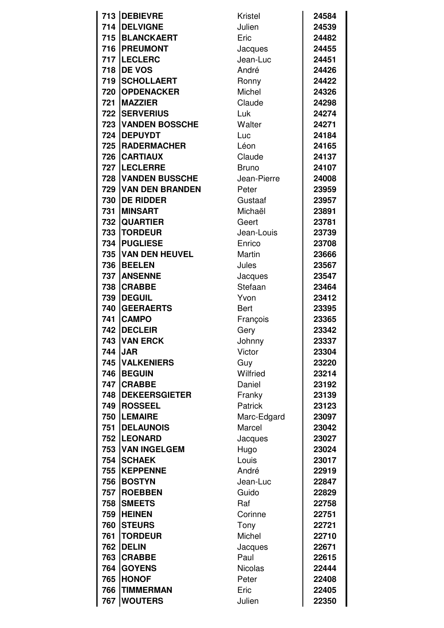|     | 713 DEBIEVRE           | Kristel        | 24584 |
|-----|------------------------|----------------|-------|
| 714 | <b>DELVIGNE</b>        | Julien         | 24539 |
| 715 | <b>BLANCKAERT</b>      | Eric           | 24482 |
|     | 716   PREUMONT         | Jacques        | 24455 |
|     | 717  LECLERC           | Jean-Luc       | 24451 |
| 718 | <b>DE VOS</b>          | André          | 24426 |
| 719 | <b>SCHOLLAERT</b>      | Ronny          | 24422 |
| 720 | <b>OPDENACKER</b>      | Michel         | 24326 |
| 721 | <b>IMAZZIER</b>        | Claude         | 24298 |
|     | <b>722 SERVERIUS</b>   | Luk            | 24274 |
| 723 | <b>VANDEN BOSSCHE</b>  | Walter         | 24271 |
| 724 | <b>DEPUYDT</b>         | Luc            | 24184 |
| 725 | <b>RADERMACHER</b>     | Léon           | 24165 |
| 726 | <b>CARTIAUX</b>        | Claude         | 24137 |
|     | 727  LECLERRE          | <b>Bruno</b>   | 24107 |
| 728 | <b>VANDEN BUSSCHE</b>  | Jean-Pierre    | 24008 |
| 729 | <b>VAN DEN BRANDEN</b> | Peter          | 23959 |
| 730 | <b>DE RIDDER</b>       | Gustaaf        | 23957 |
| 731 | <b>IMINSART</b>        | Michaël        | 23891 |
| 732 | <b>QUARTIER</b>        | Geert          | 23781 |
| 733 | <b>TORDEUR</b>         | Jean-Louis     | 23739 |
| 734 | <b>PUGLIESE</b>        | Enrico         | 23708 |
| 735 | <b>VAN DEN HEUVEL</b>  | Martin         | 23666 |
| 736 | <b>BEELEN</b>          | Jules          | 23567 |
| 737 | <b>ANSENNE</b>         | Jacques        | 23547 |
| 738 | <b>CRABBE</b>          | Stefaan        | 23464 |
| 739 | <b>DEGUIL</b>          | Yvon           | 23412 |
| 740 | <b>GEERAERTS</b>       | <b>Bert</b>    | 23395 |
| 741 | <b>CAMPO</b>           | François       | 23365 |
| 742 | <b>DECLEIR</b>         | Gery           | 23342 |
|     | <b>743 VAN ERCK</b>    | Johnny         | 23337 |
|     | 744 JAR                | Victor         | 23304 |
| 745 | <b>VALKENIERS</b>      | Guy            | 23220 |
| 746 | <b>BEGUIN</b>          | Wilfried       | 23214 |
| 747 | <b>CRABBE</b>          | Daniel         | 23192 |
| 748 | <b>IDEKEERSGIETER</b>  | Franky         | 23139 |
| 749 | <b>ROSSEEL</b>         | Patrick        | 23123 |
| 750 | <b>LEMAIRE</b>         | Marc-Edgard    | 23097 |
| 751 | <b>IDELAUNOIS</b>      | Marcel         | 23042 |
|     | 752   LEONARD          | Jacques        | 23027 |
|     | 753   VAN INGELGEM     | Hugo           | 23024 |
| 754 | <b>SCHAEK</b>          | Louis          | 23017 |
| 755 | <b>KEPPENNE</b>        | André          | 22919 |
| 756 | <b>BOSTYN</b>          | Jean-Luc       | 22847 |
| 757 | <b>ROEBBEN</b>         | Guido          | 22829 |
| 758 | <b>SMEETS</b>          | Raf            | 22758 |
| 759 | <b>HEINEN</b>          | Corinne        | 22751 |
| 760 | <b>STEURS</b>          | Tony           | 22721 |
| 761 | <b>TORDEUR</b>         | Michel         | 22710 |
| 762 | <b>DELIN</b>           | Jacques        | 22671 |
| 763 | <b>CRABBE</b>          | Paul           | 22615 |
| 764 | <b>GOYENS</b>          | <b>Nicolas</b> | 22444 |
| 765 | <b>HONOF</b>           | Peter          | 22408 |
|     |                        |                |       |
| 766 | <b>TIMMERMAN</b>       | Eric           | 22405 |
|     | 767   WOUTERS          | Julien         | 22350 |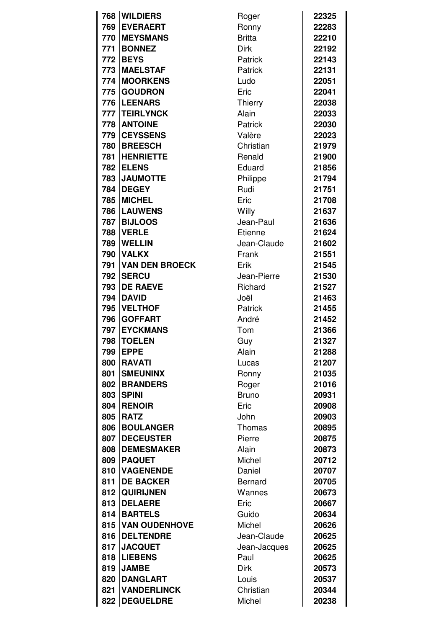| 768 | <b>WILDIERS</b>       |                |       |
|-----|-----------------------|----------------|-------|
|     |                       | Roger          | 22325 |
| 769 | <b>EVERAERT</b>       | Ronny          | 22283 |
| 770 | <b>IMEYSMANS</b>      | <b>Britta</b>  | 22210 |
| 771 | <b>BONNEZ</b>         | <b>Dirk</b>    | 22192 |
| 772 | <b>BEYS</b>           | Patrick        | 22143 |
| 773 | <b>MAELSTAF</b>       | Patrick        | 22131 |
| 774 | <b>MOORKENS</b>       | Ludo           | 22051 |
| 775 | <b>GOUDRON</b>        | Eric           | 22041 |
| 776 | <b>LEENARS</b>        | Thierry        | 22038 |
| 777 | <b>TEIRLYNCK</b>      | Alain          | 22033 |
| 778 | <b>ANTOINE</b>        | Patrick        | 22030 |
| 779 | <b>CEYSSENS</b>       | Valère         | 22023 |
| 780 | <b>BREESCH</b>        | Christian      | 21979 |
| 781 | <b>HENRIETTE</b>      | Renald         | 21900 |
| 782 | <b>ELENS</b>          | Eduard         | 21856 |
| 783 | <b>JAUMOTTE</b>       | Philippe       | 21794 |
| 784 | <b>DEGEY</b>          | Rudi           | 21751 |
| 785 | <b>MICHEL</b>         | Eric           | 21708 |
| 786 | <b>LAUWENS</b>        | Willy          | 21637 |
| 787 | <b>BIJLOOS</b>        | Jean-Paul      | 21636 |
| 788 | <b>VERLE</b>          | Etienne        | 21624 |
| 789 | <b>WELLIN</b>         | Jean-Claude    | 21602 |
| 790 | <b>VALKX</b>          | Frank          | 21551 |
| 791 | <b>VAN DEN BROECK</b> | Erik           | 21545 |
| 792 | <b>SERCU</b>          | Jean-Pierre    |       |
|     |                       |                | 21530 |
| 793 | <b>DE RAEVE</b>       | Richard        | 21527 |
| 794 | <b>DAVID</b>          | Joël           | 21463 |
| 795 | <b>VELTHOF</b>        | Patrick        | 21455 |
| 796 | <b>GOFFART</b>        | André          | 21452 |
| 797 | <b>EYCKMANS</b>       | Tom            | 21366 |
| 798 | <b>ITOFI FN</b>       | Guy            | 21327 |
| 799 | <b>EPPE</b>           | Alain          | 21288 |
| 800 | <b>RAVATI</b>         | Lucas          | 21207 |
| 801 | <b>SMEUNINX</b>       | Ronny          | 21035 |
| 802 | <b>BRANDERS</b>       | Roger          | 21016 |
| 803 | <b>SPINI</b>          | <b>Bruno</b>   | 20931 |
| 804 | <b>RENOIR</b>         | Eric           | 20908 |
| 805 | <b>RATZ</b>           | John           | 20903 |
| 806 | <b>BOULANGER</b>      | Thomas         | 20895 |
| 807 | <b>DECEUSTER</b>      | Pierre         | 20875 |
| 808 | <b>DEMESMAKER</b>     | Alain          | 20873 |
| 809 | <b>PAQUET</b>         | Michel         | 20712 |
| 810 | <b>VAGENENDE</b>      | Daniel         | 20707 |
| 811 | <b>DE BACKER</b>      | <b>Bernard</b> | 20705 |
|     | 812   QUIRIJNEN       | Wannes         | 20673 |
| 813 | <b>DELAERE</b>        | Eric           | 20667 |
| 814 | <b>BARTELS</b>        | Guido          | 20634 |
| 815 | <b>VAN OUDENHOVE</b>  | Michel         | 20626 |
| 816 | <b>DELTENDRE</b>      | Jean-Claude    | 20625 |
| 817 | <b>JACQUET</b>        | Jean-Jacques   | 20625 |
| 818 | <b>LIEBENS</b>        | Paul           | 20625 |
| 819 | <b>JAMBE</b>          | Dirk           | 20573 |
| 820 | <b>DANGLART</b>       | Louis          | 20537 |
| 821 | <b>VANDERLINCK</b>    | Christian      | 20344 |
|     | <b>DEGUELDRE</b>      |                |       |
| 822 |                       | Michel         | 20238 |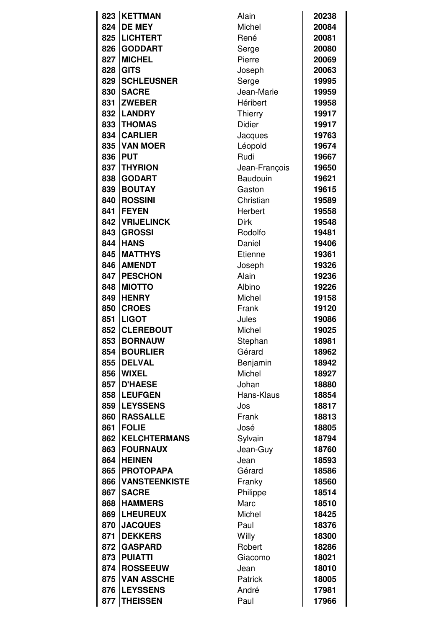|     | 823 KETTMAN          | Alain           | 20238 |
|-----|----------------------|-----------------|-------|
| 824 | <b>DE MEY</b>        | Michel          | 20084 |
| 825 | <b>LICHTERT</b>      | René            | 20081 |
| 826 | <b>GODDART</b>       | Serge           | 20080 |
| 827 | <b>MICHEL</b>        | Pierre          | 20069 |
| 828 | <b>GITS</b>          | Joseph          | 20063 |
| 829 | <b>SCHLEUSNER</b>    | Serge           | 19995 |
| 830 | <b>SACRE</b>         | Jean-Marie      | 19959 |
| 831 | <b>ZWEBER</b>        | <b>Héribert</b> | 19958 |
| 832 | <b>LANDRY</b>        | Thierry         | 19917 |
| 833 | <b>THOMAS</b>        | <b>Didier</b>   | 19917 |
| 834 | <b>CARLIER</b>       | Jacques         | 19763 |
| 835 | <b>VAN MOER</b>      | Léopold         | 19674 |
| 836 | <b>IPUT</b>          | Rudi            | 19667 |
| 837 | <b>THYRION</b>       | Jean-François   | 19650 |
| 838 | <b>GODART</b>        | Baudouin        | 19621 |
| 839 | <b>BOUTAY</b>        | Gaston          | 19615 |
| 840 | <b>ROSSINI</b>       | Christian       | 19589 |
| 841 | <b>IFEYEN</b>        | Herbert         | 19558 |
| 842 | <b>VRIJELINCK</b>    | <b>Dirk</b>     | 19548 |
| 843 | <b>GROSSI</b>        | Rodolfo         | 19481 |
| 844 | <b>HANS</b>          | Daniel          | 19406 |
| 845 | <b>MATTHYS</b>       | <b>Etienne</b>  | 19361 |
| 846 | <b>AMENDT</b>        | Joseph          | 19326 |
| 847 | <b>PESCHON</b>       | Alain           | 19236 |
| 848 | <b>MIOTTO</b>        | Albino          | 19226 |
| 849 | <b>HENRY</b>         | Michel          | 19158 |
| 850 | <b>CROES</b>         | Frank           | 19120 |
| 851 | <b>LIGOT</b>         | Jules           | 19086 |
| 852 | <b>CLEREBOUT</b>     | Michel          | 19025 |
| 853 | <b>BORNAUW</b>       | Stephan         | 18981 |
|     | 854 BOURLIER         | Gérard          | 18962 |
| 855 | <b>DELVAL</b>        | Benjamin        | 18942 |
| 856 | <b>WIXEL</b>         | Michel          | 18927 |
| 857 | <b>D'HAESE</b>       | Johan           | 18880 |
| 858 | <b>LEUFGEN</b>       | Hans-Klaus      | 18854 |
| 859 | <b>ILEYSSENS</b>     | Jos             | 18817 |
| 860 | <b>RASSALLE</b>      | Frank           | 18813 |
| 861 | <b>FOLIE</b>         | José            | 18805 |
| 862 | <b>KELCHTERMANS</b>  | Sylvain         | 18794 |
| 863 | <b>FOURNAUX</b>      | Jean-Guy        | 18760 |
| 864 | <b>HEINEN</b>        | Jean            | 18593 |
| 865 | <b>PROTOPAPA</b>     | Gérard          | 18586 |
| 866 | <b>VANSTEENKISTE</b> | Franky          | 18560 |
| 867 | <b>SACRE</b>         | Philippe        | 18514 |
| 868 | <b>HAMMERS</b>       | Marc            | 18510 |
| 869 | <b>LHEUREUX</b>      | Michel          | 18425 |
| 870 | <b>JACQUES</b>       | Paul            | 18376 |
| 871 | <b>DEKKERS</b>       | Willy           | 18300 |
| 872 | <b>GASPARD</b>       | Robert          | 18286 |
| 873 | <b>PUIATTI</b>       | Giacomo         | 18021 |
| 874 | <b>ROSSEEUW</b>      | Jean            | 18010 |
| 875 | <b>VAN ASSCHE</b>    | Patrick         | 18005 |
| 876 | <b>LEYSSENS</b>      | André           | 17981 |
|     | 877   THEISSEN       | Paul            | 17966 |
|     |                      |                 |       |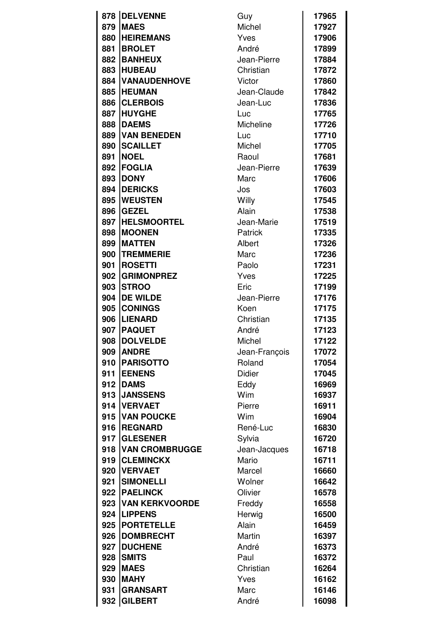| 878 | <b>DELVENNE</b>       | Guy           | 17965 |
|-----|-----------------------|---------------|-------|
| 879 | <b>MAES</b>           | Michel        | 17927 |
| 880 | <b>HEIREMANS</b>      | Yves          | 17906 |
| 881 | <b>BROLET</b>         | André         | 17899 |
| 882 | <b>BANHEUX</b>        | Jean-Pierre   | 17884 |
| 883 | <b>HUBEAU</b>         | Christian     | 17872 |
| 884 | <b>VANAUDENHOVE</b>   | Victor        | 17860 |
| 885 | <b>HEUMAN</b>         | Jean-Claude   | 17842 |
| 886 | <b>CLERBOIS</b>       | Jean-Luc      | 17836 |
| 887 | <b>HUYGHE</b>         | Luc           | 17765 |
| 888 | <b>DAEMS</b>          | Micheline     | 17726 |
| 889 | <b>VAN BENEDEN</b>    | Luc           | 17710 |
| 890 | <b>SCAILLET</b>       | Michel        | 17705 |
| 891 | <b>NOEL</b>           | Raoul         | 17681 |
| 892 | <b>FOGLIA</b>         | Jean-Pierre   | 17639 |
| 893 | <b>DONY</b>           | Marc          | 17606 |
| 894 | <b>DERICKS</b>        | Jos           | 17603 |
| 895 | <b>WEUSTEN</b>        | Willy         | 17545 |
| 896 | <b>GEZEL</b>          | Alain         | 17538 |
| 897 | <b>HELSMOORTEL</b>    | Jean-Marie    | 17519 |
| 898 | <b>MOONEN</b>         | Patrick       | 17335 |
| 899 | <b>MATTEN</b>         | Albert        | 17326 |
| 900 | <b>TREMMERIE</b>      | Marc          | 17236 |
| 901 | <b>ROSETTI</b>        | Paolo         | 17231 |
| 902 | <b>GRIMONPREZ</b>     | Yves          | 17225 |
| 903 | <b>STROO</b>          | Eric          | 17199 |
| 904 | <b>DE WILDE</b>       | Jean-Pierre   | 17176 |
| 905 | <b>CONINGS</b>        | Koen          | 17175 |
| 906 | <b>LIENARD</b>        | Christian     | 17135 |
| 907 | <b>PAQUET</b>         | André         | 17123 |
| 908 | <b>DOLVELDE</b>       | Michel        | 17122 |
| 909 | <b>ANDRE</b>          | Jean-François | 17072 |
| 910 | <b>PARISOTTO</b>      | Roland        | 17054 |
| 911 | <b>EENENS</b>         | <b>Didier</b> | 17045 |
| 912 | <b>DAMS</b>           | Eddy          | 16969 |
| 913 | <b>JANSSENS</b>       | Wim           | 16937 |
|     | 914   VERVAET         | Pierre        | 16911 |
| 915 | <b>VAN POUCKE</b>     | Wim           | 16904 |
| 916 | <b>REGNARD</b>        | René-Luc      | 16830 |
| 917 | <b>GLESENER</b>       | Sylvia        | 16720 |
| 918 | <b>VAN CROMBRUGGE</b> | Jean-Jacques  | 16718 |
| 919 | <b>CLEMINCKX</b>      | Mario         | 16711 |
| 920 | <b>VERVAET</b>        | Marcel        | 16660 |
| 921 | <b>SIMONELLI</b>      | Wolner        | 16642 |
| 922 | <b>PAELINCK</b>       | Olivier       | 16578 |
|     | 923 VAN KERKVOORDE    | Freddy        | 16558 |
| 924 | <b>LIPPENS</b>        | Herwig        | 16500 |
| 925 | <b>PORTETELLE</b>     | Alain         | 16459 |
| 926 | <b>DOMBRECHT</b>      | Martin        | 16397 |
| 927 | <b>DUCHENE</b>        | André         | 16373 |
| 928 | <b>SMITS</b>          | Paul          | 16372 |
| 929 | <b>MAES</b>           | Christian     | 16264 |
| 930 | <b>MAHY</b>           | Yves          | 16162 |
| 931 | <b>GRANSART</b>       | Marc          | 16146 |
| 932 | <b>GILBERT</b>        | André         | 16098 |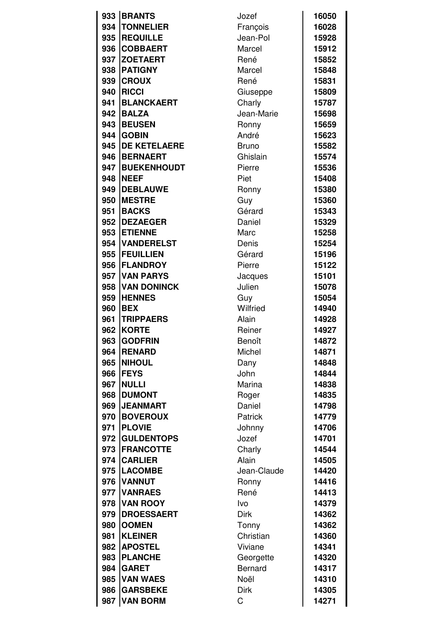|          | 933 BRANTS          | Jozef          | 16050 |
|----------|---------------------|----------------|-------|
| 934      | <b>TONNELIER</b>    | François       | 16028 |
| 935      | <b>REQUILLE</b>     | Jean-Pol       | 15928 |
| 936      | <b>COBBAERT</b>     | Marcel         | 15912 |
| 937      | <b>ZOETAERT</b>     | René           | 15852 |
| 938      | <b>PATIGNY</b>      | Marcel         | 15848 |
| 939      | <b>CROUX</b>        | René           | 15831 |
| 940      | <b>RICCI</b>        | Giuseppe       | 15809 |
| 941      | <b>BLANCKAERT</b>   | Charly         | 15787 |
| 942      | <b>BALZA</b>        | Jean-Marie     | 15698 |
| 943      | <b>BEUSEN</b>       | Ronny          | 15659 |
| 944      | <b>GOBIN</b>        | André          | 15623 |
| 945      | <b>DE KETELAERE</b> | <b>Bruno</b>   | 15582 |
| 946      | <b>BERNAERT</b>     | Ghislain       | 15574 |
| 947      | <b>BUEKENHOUDT</b>  | Pierre         | 15536 |
| 948      | <b>NEEF</b>         | Piet           | 15408 |
| 949      | <b>DEBLAUWE</b>     | Ronny          | 15380 |
| 950      | <b>MESTRE</b>       | Guy            | 15360 |
| 951      | <b>BACKS</b>        | Gérard         | 15343 |
| 952      | <b>DEZAEGER</b>     | Daniel         | 15329 |
| 953      | <b>IETIENNE</b>     | Marc           | 15258 |
| 954      | <b>VANDERELST</b>   | Denis          | 15254 |
| 955      | <b>FEUILLIEN</b>    | Gérard         | 15196 |
| 956      | <b>FLANDROY</b>     | Pierre         | 15122 |
| 957      | <b>VAN PARYS</b>    | Jacques        | 15101 |
| 958      | <b>VAN DONINCK</b>  | Julien         | 15078 |
| 959      | <b>HENNES</b>       | Guy            | 15054 |
| 960      | <b>BEX</b>          | Wilfried       | 14940 |
| 961      | <b>TRIPPAERS</b>    | Alain          | 14928 |
| 962      | <b>KORTE</b>        | Reiner         | 14927 |
| 963      | <b>GODFRIN</b>      | Benoît         | 14872 |
| 964      | <b>RENARD</b>       | Michel         | 14871 |
| 965      | <b>NIHOUL</b>       | Dany           | 14848 |
| 966      | <b>FEYS</b>         | John           | 14844 |
| 967      | <b>NULLI</b>        | Marina         | 14838 |
| 968      | <b>DUMONT</b>       | Roger          | 14835 |
| 969      | <b>JEANMART</b>     | Daniel         | 14798 |
| 970      | <b>BOVEROUX</b>     | Patrick        | 14779 |
| 971      | <b>PLOVIE</b>       | Johnny         | 14706 |
| 972      | <b>GULDENTOPS</b>   | Jozef          | 14701 |
| 973      | <b>FRANCOTTE</b>    | Charly         | 14544 |
|          | 974 CARLIER         | Alain          | 14505 |
| 975      | <b>LACOMBE</b>      | Jean-Claude    | 14420 |
| 976      | <b>VANNUT</b>       | Ronny          | 14416 |
| 977      | <b>VANRAES</b>      | René           | 14413 |
| 978<br>Ι | <b>VAN ROOY</b>     | Ivo            | 14379 |
| 979      | <b>DROESSAERT</b>   | <b>Dirk</b>    | 14362 |
| 980      | <b>OOMEN</b>        | Tonny          | 14362 |
| 981      | <b>KLEINER</b>      | Christian      | 14360 |
| 982      | <b>APOSTEL</b>      | Viviane        | 14341 |
| 983      | <b>PLANCHE</b>      | Georgette      | 14320 |
| 984      | <b>GARET</b>        | <b>Bernard</b> | 14317 |
| 985      | <b>VAN WAES</b>     | Noël           | 14310 |
| 986      | <b>GARSBEKE</b>     | Dirk           | 14305 |
| 987      | <b>VAN BORM</b>     | C              | 14271 |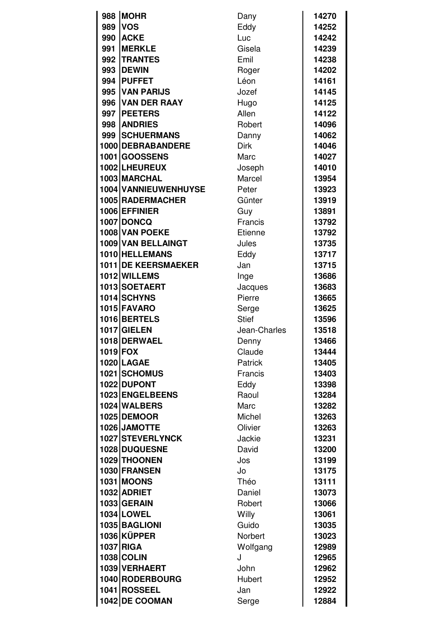| 988      | <b>MOHR</b>                | Dany         | 14270 |
|----------|----------------------------|--------------|-------|
| 989      | <b>VOS</b>                 | Eddy         | 14252 |
| 990      | <b>ACKE</b>                | Luc          | 14242 |
| 991      | <b>IMERKLE</b>             | Gisela       | 14239 |
|          | 992   TRANTES              | Emil         | 14238 |
| 993      | <b>IDEWIN</b>              | Roger        | 14202 |
|          | 994 PUFFET                 | Léon         | 14161 |
| 995      | <b>VAN PARIJS</b>          | Jozef        | 14145 |
| 996      | <b>VAN DER RAAY</b>        | Hugo         | 14125 |
|          | 997   PEETERS              | Allen        | 14122 |
|          | 998 ANDRIES                | Robert       | 14096 |
|          | 999   SCHUERMANS           | Danny        | 14062 |
|          | 1000 DEBRABANDERE          | <b>Dirk</b>  | 14046 |
|          | <b>1001 GOOSSENS</b>       | Marc         | 14027 |
|          | 1002 LHEUREUX              | Joseph       | 14010 |
|          | 1003 MARCHAL               | Marcel       | 13954 |
|          | 1004 VANNIEUWENHUYSE       | Peter        | 13923 |
|          | 1005 RADERMACHER           | Günter       | 13919 |
|          | 1006 EFFINIER              | Guy          | 13891 |
|          | <b>1007 DONCQ</b>          | Francis      | 13792 |
|          | 1008 VAN POEKE             | Etienne      | 13792 |
|          | 1009 VAN BELLAINGT         | Jules        | 13735 |
|          | 1010 HELLEMANS             | Eddy         | 13717 |
|          | <b>1011 DE KEERSMAEKER</b> | Jan          | 13715 |
|          | 1012 WILLEMS               | Inge         | 13686 |
|          | 1013 SOETAERT              | Jacques      | 13683 |
|          | 1014 SCHYNS                | Pierre       | 13665 |
|          | 1015 FAVARO                | Serge        | 13625 |
|          | 1016 BERTELS               | <b>Stief</b> | 13596 |
|          | 1017 GIELEN                | Jean-Charles | 13518 |
|          | 1018 DERWAEL               | Denny        | 13466 |
| 1019 FOX |                            | Claude       | 13444 |
|          | 1020 LAGAE                 | Patrick      | 13405 |
|          | 1021 SCHOMUS               | Francis      | 13403 |
|          | 1022 DUPONT                | Eddy         | 13398 |
|          | 1023 ENGELBEENS            | Raoul        | 13284 |
|          | 1024 WALBERS               | Marc         | 13282 |
|          | 1025 DEMOOR                | Michel       | 13263 |
|          | 1026 JAMOTTE               | Olivier      | 13263 |
|          | 1027 STEVERLYNCK           | Jackie       | 13231 |
|          | 1028 DUQUESNE              | David        | 13200 |
|          | 1029 THOONEN               | Jos          | 13199 |
|          | 1030 FRANSEN               | Jo           | 13175 |
|          | <b>1031 MOONS</b>          | Théo         | 13111 |
|          | 1032 ADRIET                | Daniel       | 13073 |
|          | 1033 GERAIN                | Robert       | 13066 |
|          | 1034 LOWEL                 | Willy        | 13061 |
|          | 1035 BAGLIONI              | Guido        | 13035 |
|          | 1036 KÜPPER                | Norbert      | 13023 |
|          | 1037 RIGA                  | Wolfgang     | 12989 |
|          | <b>1038 COLIN</b>          | J            | 12965 |
|          | 1039 VERHAERT              | John         | 12962 |
|          | 1040 RODERBOURG            | Hubert       | 12952 |
|          | 1041 ROSSEEL               | Jan          | 12922 |
|          | 1042 DE COOMAN             | Serge        | 12884 |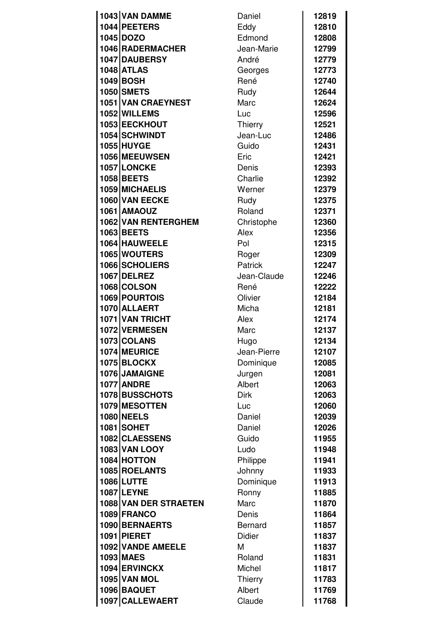| 1043 VAN DAMME        | Daniel         | 12819 |
|-----------------------|----------------|-------|
| 1044 PEETERS          | Eddy           | 12810 |
| 1045 DOZO             | Edmond         | 12808 |
| 1046 RADERMACHER      | Jean-Marie     | 12799 |
| 1047 DAUBERSY         | André          | 12779 |
| <b>1048 ATLAS</b>     | Georges        | 12773 |
| 1049 BOSH             | René           | 12740 |
| <b>1050 SMETS</b>     | Rudy           | 12644 |
| 1051 VAN CRAEYNEST    | Marc           | 12624 |
| 1052 WILLEMS          | Luc            | 12596 |
| 1053 EECKHOUT         | <b>Thierry</b> | 12521 |
| 1054 SCHWINDT         | Jean-Luc       | 12486 |
| <b>1055 HUYGE</b>     | Guido          | 12431 |
| 1056 MEEUWSEN         | Eric           | 12421 |
| 1057 LONCKE           | Denis          | 12393 |
| 1058 BEETS            | Charlie        | 12392 |
| 1059 MICHAELIS        | Werner         | 12379 |
| 1060 VAN EECKE        | Rudy           | 12375 |
| <b>1061 AMAOUZ</b>    | Roland         | 12371 |
|                       |                |       |
| 1062 VAN RENTERGHEM   | Christophe     | 12360 |
| 1063 BEETS            | Alex           | 12356 |
| 1064 HAUWEELE         | Pol            | 12315 |
| 1065 WOUTERS          | Roger          | 12309 |
| 1066 SCHOLIERS        | Patrick        | 12247 |
| <b>1067 DELREZ</b>    | Jean-Claude    | 12246 |
| 1068 COLSON           | René           | 12222 |
| 1069 POURTOIS         | Olivier        | 12184 |
| 1070 ALLAERT          | Micha          | 12181 |
| 1071 VAN TRICHT       | Alex           | 12174 |
| 1072 VERMESEN         | Marc           | 12137 |
| 1073 COLANS           | Hugo           | 12134 |
| 1074 MEURICE          | Jean-Pierre    | 12107 |
| <b>1075 BLOCKX</b>    | Dominique      | 12085 |
| 1076 JAMAIGNE         | Jurgen         | 12081 |
| <b>1077 ANDRE</b>     | Albert         | 12063 |
| 1078 BUSSCHOTS        | <b>Dirk</b>    | 12063 |
| 1079 MESOTTEN         | Luc            | 12060 |
| <b>1080 NEELS</b>     | Daniel         | 12039 |
| <b>1081 SOHET</b>     | Daniel         | 12026 |
| 1082 CLAESSENS        | Guido          | 11955 |
| <b>1083 VAN LOOY</b>  | Ludo           | 11948 |
| 1084 HOTTON           | Philippe       | 11941 |
| 1085 ROELANTS         | Johnny         | 11933 |
| 1086 LUTTE            | Dominique      | 11913 |
| <b>1087 LEYNE</b>     | Ronny          | 11885 |
| 1088 VAN DER STRAETEN | Marc           | 11870 |
| 1089 FRANCO           | Denis          | 11864 |
| 1090 BERNAERTS        | <b>Bernard</b> | 11857 |
| <b>1091 PIERET</b>    | Didier         | 11837 |
| 1092 VANDE AMEELE     | М              | 11837 |
| 1093 MAES             | Roland         | 11831 |
| 1094 ERVINCKX         | Michel         | 11817 |
| <b>1095 VAN MOL</b>   | Thierry        | 11783 |
| 1096 BAQUET           | Albert         | 11769 |
| 1097 CALLEWAERT       | Claude         | 11768 |
|                       |                |       |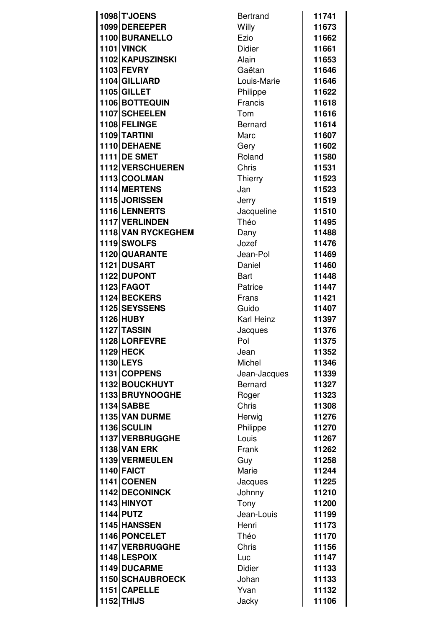| 1098 TJOENS         | <b>Bertrand</b> | 11741 |
|---------------------|-----------------|-------|
| 1099 DEREEPER       | Willy           | 11673 |
| 1100 BURANELLO      | Ezio            | 11662 |
| <b>1101 VINCK</b>   | Didier          | 11661 |
| 1102 KAPUSZINSKI    | Alain           | 11653 |
| 1103 FEVRY          | Gaëtan          | 11646 |
| 1104 GILLIARD       | Louis-Marie     | 11646 |
| 1105 GILLET         | Philippe        | 11622 |
| 1106 BOTTEQUIN      | Francis         | 11618 |
| 1107 SCHEELEN       | Tom             | 11616 |
| 1108 FELINGE        | <b>Bernard</b>  | 11614 |
| 1109 TARTINI        | Marc            | 11607 |
| 1110 DEHAENE        | Gery            | 11602 |
| 1111 DE SMET        | Roland          |       |
|                     | Chris           | 11580 |
| 1112 VERSCHUEREN    |                 | 11531 |
| 1113 COOLMAN        | Thierry         | 11523 |
| 1114 MERTENS        | Jan             | 11523 |
| 1115 JORISSEN       | Jerry           | 11519 |
| 1116 LENNERTS       | Jacqueline      | 11510 |
| 1117 VERLINDEN      | Théo            | 11495 |
| 1118 VAN RYCKEGHEM  | Dany            | 11488 |
| 1119 SWOLFS         | Jozef           | 11476 |
| 1120 QUARANTE       | Jean-Pol        | 11469 |
| 1121 DUSART         | Daniel          | 11460 |
| 1122 DUPONT         | Bart            | 11448 |
| 1123 FAGOT          | Patrice         | 11447 |
| 1124 BECKERS        | Frans           | 11421 |
| 1125 SEYSSENS       | Guido           | 11407 |
| 1126 HUBY           | Karl Heinz      | 11397 |
| 1127 TASSIN         | Jacques         | 11376 |
| 1128 LORFEVRE       | <b>Pol</b>      | 11375 |
| <b>1129 HECK</b>    | Jean            | 11352 |
| <b>1130 LEYS</b>    | Michel          | 11346 |
| 1131 COPPENS        | Jean-Jacques    | 11339 |
| 1132 BOUCKHUYT      | <b>Bernard</b>  | 11327 |
| 1133 BRUYNOOGHE     | Roger           | 11323 |
| 1134 SABBE          | Chris           | 11308 |
| 1135 VAN DURME      | Herwig          | 11276 |
| 1136 SCULIN         | Philippe        | 11270 |
| 1137 VERBRUGGHE     | Louis           | 11267 |
| <b>1138 VAN ERK</b> | Frank           | 11262 |
| 1139 VERMEULEN      | Guy             | 11258 |
| 1140 FAICT          | Marie           | 11244 |
| 1141 COENEN         | Jacques         | 11225 |
| 1142 DECONINCK      | Johnny          | 11210 |
| 1143 HINYOT         | Tony            | 11200 |
| 1144 PUTZ           | Jean-Louis      | 11199 |
| 1145 HANSSEN        | Henri           | 11173 |
| 1146 PONCELET       | Théo            | 11170 |
| 1147 VERBRUGGHE     | Chris           | 11156 |
| 1148 LESPOIX        | Luc             | 11147 |
| 1149 DUCARME        | Didier          | 11133 |
| 1150 SCHAUBROECK    | Johan           | 11133 |
| 1151 CAPELLE        | Yvan            | 11132 |
| <b>1152 THIJS</b>   | Jacky           | 11106 |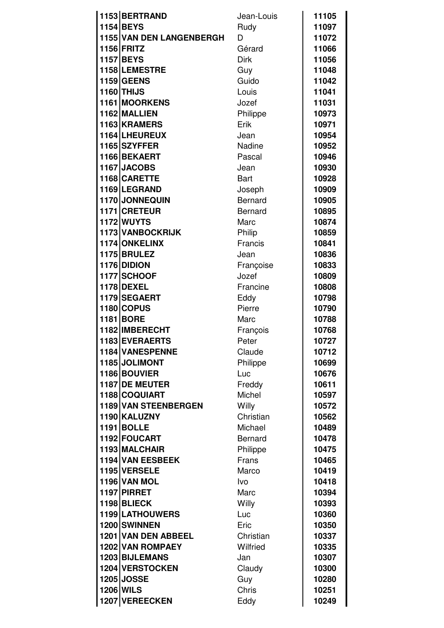| 1153 BERTRAND                         | Jean-Louis               | 11105          |
|---------------------------------------|--------------------------|----------------|
| 1154 BEYS                             | Rudy                     | 11097          |
| 1155 VAN DEN LANGENBERGH              | D                        | 11072          |
| <b>1156 FRITZ</b>                     | Gérard                   | 11066          |
| <b>1157 BEYS</b>                      | <b>Dirk</b>              | 11056          |
| 1158 LEMESTRE                         |                          | 11048          |
| <b>1159 GEENS</b>                     | Guy                      |                |
| 1160 THIJS                            | Guido                    | 11042<br>11041 |
| 1161 MOORKENS                         | Louis                    |                |
| 1162 MALLIEN                          | Jozef                    | 11031          |
| 1163 KRAMERS                          | Philippe<br>Erik         | 10973<br>10971 |
| 1164 LHEUREUX                         | Jean                     | 10954          |
| 1165 SZYFFER                          | Nadine                   | 10952          |
| 1166 BEKAERT                          | Pascal                   | 10946          |
| 1167 JACOBS                           | Jean                     | 10930          |
| 1168 CARETTE                          | <b>Bart</b>              | 10928          |
| 1169 LEGRAND                          |                          |                |
| 1170 JONNEQUIN                        | Joseph<br><b>Bernard</b> | 10909          |
| 1171 CRETEUR                          |                          | 10905          |
|                                       | <b>Bernard</b>           | 10895          |
| <b>1172 WUYTS</b>                     | Marc                     | 10874          |
| 1173 VANBOCKRIJK                      | Philip                   | 10859          |
| 1174 ONKELINX<br><b>1175 BRULEZ</b>   | Francis                  | 10841          |
| 1176 DIDION                           | Jean                     | 10836          |
|                                       | Françoise                | 10833          |
| 1177 SCHOOF                           | Jozef                    | 10809          |
| <b>1178 DEXEL</b>                     | Francine                 | 10808          |
| 1179 SEGAERT                          | Eddy                     | 10798          |
| <b>1180 COPUS</b>                     | Pierre                   | 10790          |
| 1181 BORE<br>1182 IMBERECHT           | Marc                     | 10788          |
| 1183 EVERAERTS                        | François                 | 10768          |
| 1184 VANESPENNE                       | Peter                    | 10727          |
|                                       | Claude                   | 10712          |
| 1185 JOLIMONT<br>1186 BOUVIER         | Philippe                 | 10699          |
| 1187 DE MEUTER                        | Luc                      | 10676          |
|                                       | Freddy                   | 10611          |
| 1188 COQUIART<br>1189 VAN STEENBERGEN | Michel                   | 10597          |
| 1190 KALUZNY                          | Willy<br>Christian       | 10572          |
| <b>1191 BOLLE</b>                     | Michael                  | 10562<br>10489 |
| 1192 FOUCART                          | <b>Bernard</b>           | 10478          |
| 1193 MALCHAIR                         |                          | 10475          |
| 1194 VAN EESBEEK                      | Philippe<br>Frans        | 10465          |
| 1195 VERSELE                          | Marco                    | 10419          |
| <b>1196 VAN MOL</b>                   | Ivo                      | 10418          |
| 1197 PIRRET                           | Marc                     | 10394          |
| 1198 BLIECK                           | Willy                    | 10393          |
| 1199 LATHOUWERS                       | Luc                      | 10360          |
| 1200 SWINNEN                          | Eric                     | 10350          |
| 1201 VAN DEN ABBEEL                   | Christian                | 10337          |
| 1202 VAN ROMPAEY                      | Wilfried                 | 10335          |
| 1203 BIJLEMANS                        | Jan                      | 10307          |
| 1204 VERSTOCKEN                       | Claudy                   | 10300          |
| <b>1205 JOSSE</b>                     | Guy                      | 10280          |
| <b>1206 WILS</b>                      | Chris                    | 10251          |
| 1207 VEREECKEN                        | Eddy                     | 10249          |
|                                       |                          |                |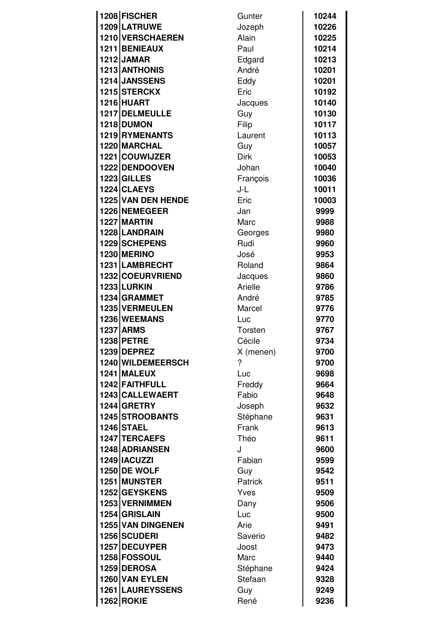| 1208 FISCHER        | Gunter       | 10244 |
|---------------------|--------------|-------|
| 1209 LATRUWE        | Jozeph       | 10226 |
| 1210 VERSCHAEREN    | <b>Alain</b> | 10225 |
| 1211 BENIEAUX       | Paul         | 10214 |
| <b>1212 JAMAR</b>   | Edgard       | 10213 |
| 1213 ANTHONIS       | André        | 10201 |
| 1214 JANSSENS       | Eddy         | 10201 |
| 1215 STERCKX        | Eric         | 10192 |
| 1216 HUART          | Jacques      | 10140 |
| 1217 DELMEULLE      | Guy          | 10130 |
| 1218 DUMON          | Filip        | 10117 |
| 1219 RYMENANTS      | Laurent      | 10113 |
| 1220 MARCHAL        | Guy          | 10057 |
| 1221 COUWIJZER      | <b>Dirk</b>  | 10053 |
| 1222 DENDOOVEN      | Johan        | 10040 |
| 1223 GILLES         | François     | 10036 |
| 1224 CLAEYS         | J-L          | 10011 |
| 1225 VAN DEN HENDE  | Eric         | 10003 |
| 1226 NEMEGEER       | Jan          | 9999  |
| 1227 MARTIN         | Marc         | 9988  |
| 1228 LANDRAIN       |              |       |
| 1229 SCHEPENS       | Georges      | 9980  |
|                     | Rudi         | 9960  |
| <b>1230 MERINO</b>  | José         | 9953  |
| 1231 LAMBRECHT      | Roland       | 9864  |
| 1232 COEURVRIEND    | Jacques      | 9860  |
| 1233 LURKIN         | Arielle      | 9786  |
| 1234 GRAMMET        | André        | 9785  |
| 1235 VERMEULEN      | Marcel       | 9776  |
| 1236 WEEMANS        | Luc          | 9770  |
| <b>1237 ARMS</b>    | Torsten      | 9767  |
| 1238 PETRE          | Cécile       | 9734  |
| 1239 DEPREZ         | X (menen)    | 9700  |
| 1240 WILDEMEERSCH   | ?            | 9700  |
| 1241 MALEUX         | Luc          | 9698  |
| 1242 FAITHFULL      | Freddy       | 9664  |
| 1243 CALLEWAERT     | Fabio        | 9648  |
| 1244 GRETRY         | Joseph       | 9632  |
| 1245 STROOBANTS     | Stéphane     | 9631  |
| <b>1246 STAEL</b>   | Frank        | 9613  |
| 1247 TERCAEFS       | Théo         | 9611  |
| 1248 ADRIANSEN      | J            | 9600  |
| 1249   IACUZZI      | Fabian       | 9599  |
| <b>1250 DE WOLF</b> | Guy          | 9542  |
| 1251 MUNSTER        | Patrick      | 9511  |
| 1252 GEYSKENS       | Yves         | 9509  |
| 1253 VERNIMMEN      | Dany         | 9506  |
| 1254 GRISLAIN       | Luc          | 9500  |
| 1255 VAN DINGENEN   | Arie         | 9491  |
| 1256 SCUDERI        | Saverio      | 9482  |
| 1257 DECUYPER       | Joost        | 9473  |
| 1258 FOSSOUL        | Marc         | 9440  |
| 1259 DEROSA         | Stéphane     | 9424  |
| 1260 VAN EYLEN      | Stefaan      | 9328  |
| 1261   LAUREYSSENS  | Guy          | 9249  |
| <b>1262 ROKIE</b>   | René         | 9236  |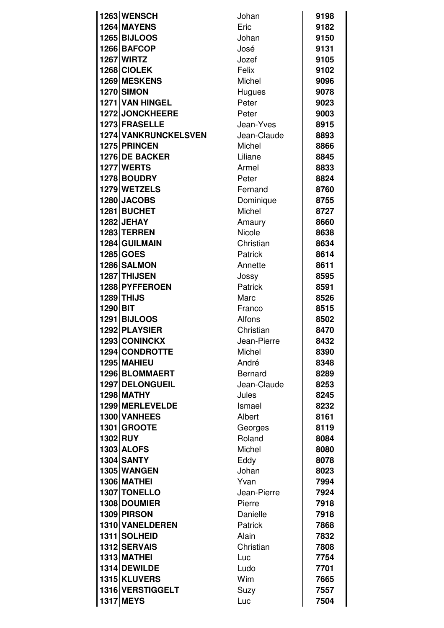|                 | 1263 WENSCH          | Johan          | 9198 |
|-----------------|----------------------|----------------|------|
|                 | 1264 MAYENS          | Eric           | 9182 |
|                 | <b>1265 BIJLOOS</b>  | Johan          | 9150 |
|                 | 1266 BAFCOP          | José           | 9131 |
|                 | <b>1267 WIRTZ</b>    | Jozef          | 9105 |
|                 | 1268 CIOLEK          | Felix          | 9102 |
|                 | 1269 MESKENS         | Michel         | 9096 |
|                 | <b>1270 SIMON</b>    | Hugues         | 9078 |
|                 | 1271 VAN HINGEL      | Peter          | 9023 |
|                 | 1272 JONCKHEERE      | Peter          | 9003 |
|                 | 1273 FRASELLE        | Jean-Yves      | 8915 |
|                 | 1274 VANKRUNCKELSVEN | Jean-Claude    | 8893 |
|                 | 1275 PRINCEN         | Michel         | 8866 |
|                 | 1276 DE BACKER       | Liliane        | 8845 |
|                 | <b>1277 WERTS</b>    | Armel          | 8833 |
|                 | 1278 BOUDRY          | Peter          | 8824 |
|                 | 1279 WETZELS         | Fernand        | 8760 |
|                 | 1280 JACOBS          | Dominique      | 8755 |
|                 | 1281 BUCHET          | Michel         | 8727 |
|                 | <b>1282 JEHAY</b>    | Amaury         | 8660 |
|                 | <b>1283 TERREN</b>   | Nicole         | 8638 |
|                 | 1284 GUILMAIN        | Christian      | 8634 |
|                 | 1285 GOES            | Patrick        | 8614 |
|                 | 1286 SALMON          | Annette        | 8611 |
|                 | 1287 THIJSEN         | Jossy          | 8595 |
|                 | 1288 PYFFEROEN       | Patrick        | 8591 |
|                 | <b>1289 THIJS</b>    | Marc           | 8526 |
| 1290 BIT        |                      | Franco         | 8515 |
|                 | <b>1291 BIJLOOS</b>  | Alfons         | 8502 |
|                 | 1292 PLAYSIER        | Christian      | 8470 |
|                 | 1293 CONINCKX        | Jean-Pierre    | 8432 |
|                 | 1294 CONDROTTE       | Michel         | 8390 |
|                 | 1295 MAHIEU          | André          | 8348 |
|                 | 1296 BLOMMAERT       | <b>Bernard</b> | 8289 |
|                 | 1297 DELONGUEIL      | Jean-Claude    | 8253 |
|                 | <b>1298 MATHY</b>    | Jules          | 8245 |
|                 | 1299 MERLEVELDE      | Ismael         | 8232 |
|                 | 1300 VANHEES         | Albert         | 8161 |
|                 | 1301 GROOTE          | Georges        | 8119 |
| <b>1302 RUY</b> |                      | Roland         | 8084 |
|                 | <b>1303 ALOFS</b>    | Michel         | 8080 |
|                 | <b>1304 SANTY</b>    | Eddy           | 8078 |
|                 | 1305 WANGEN          | Johan          | 8023 |
|                 | <b>1306 MATHEI</b>   | Yvan           | 7994 |
|                 | 1307 TONELLO         | Jean-Pierre    | 7924 |
|                 | 1308 DOUMIER         | Pierre         | 7918 |
|                 | 1309 PIRSON          | Danielle       | 7918 |
|                 | 1310 VANELDEREN      | Patrick        | 7868 |
|                 | 1311 SOLHEID         | Alain          | 7832 |
|                 | 1312 SERVAIS         | Christian      | 7808 |
|                 | <b>1313 MATHEI</b>   | Luc            | 7754 |
|                 | 1314 DEWILDE         | Ludo           | 7701 |
|                 | 1315 KLUVERS         | Wim            | 7665 |
|                 | 1316 VERSTIGGELT     | Suzy           | 7557 |
|                 | <b>1317 MEYS</b>     | Luc            | 7504 |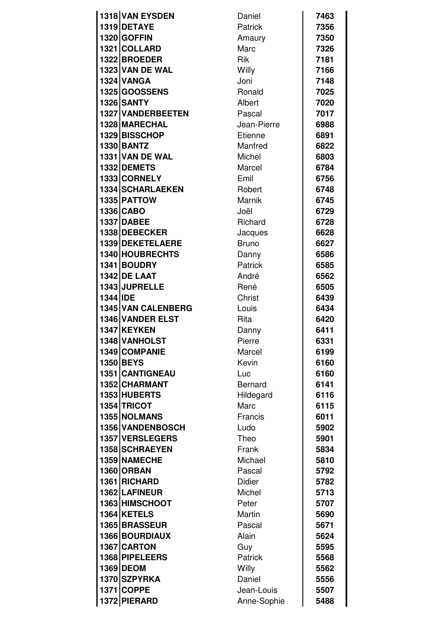|          | 1318 VAN EYSDEN        | Daniel         | 7463 |
|----------|------------------------|----------------|------|
|          | 1319 DETAYE            | <b>Patrick</b> | 7356 |
|          | 1320 GOFFIN            | Amaury         | 7350 |
|          | 1321 COLLARD           | Marc           | 7326 |
|          | 1322 BROEDER           | <b>Rik</b>     | 7181 |
|          | <b>1323 VAN DE WAL</b> | Willy          | 7166 |
|          | <b>1324 VANGA</b>      | Joni           | 7148 |
|          | 1325 GOOSSENS          | Ronald         | 7025 |
|          | 1326 SANTY             | Albert         | 7020 |
|          | 1327 VANDERBEETEN      | Pascal         | 7017 |
|          | 1328 MARECHAL          | Jean-Pierre    | 6988 |
|          | 1329 BISSCHOP          | Etienne        | 6891 |
|          | <b>1330 BANTZ</b>      | Manfred        | 6822 |
|          | 1331 VAN DE WAL        | <b>Michel</b>  | 6803 |
|          | 1332 DEMETS            | Marcel         | 6784 |
|          | 1333 CORNELY           | Emil           | 6756 |
|          | 1334 SCHARLAEKEN       | Robert         | 6748 |
|          | 1335 PATTOW            | <b>Marnik</b>  | 6745 |
|          | 1336 CABO              | Joël           | 6729 |
|          | <b>1337 DABEE</b>      | Richard        | 6728 |
|          | 1338 DEBECKER          | Jacques        | 6628 |
|          | 1339 DEKETELAERE       | <b>Bruno</b>   | 6627 |
|          | 1340 HOUBRECHTS        | Danny          | 6586 |
|          | 1341 BOUDRY            | <b>Patrick</b> | 6585 |
|          | <b>1342 DE LAAT</b>    | André          | 6562 |
|          | 1343 JUPRELLE          | René           | 6505 |
| 1344 IDE |                        | Christ         | 6439 |
|          | 1345 VAN CALENBERG     | Louis          | 6434 |
|          | 1346 VANDER ELST       | Rita           | 6420 |
|          | 1347 KEYKEN            | Danny          | 6411 |
|          | 1348 VANHOLST          | Pierre         | 6331 |
|          | 1349 COMPANIE          | Marcel         | 6199 |
|          | <b>1350 BEYS</b>       | Kevin          | 6160 |
|          | 1351 CANTIGNEAU        | Luc            | 6160 |
|          | 1352 CHARMANT          | <b>Bernard</b> | 6141 |
|          | 1353 HUBERTS           | Hildegard      | 6116 |
|          | 1354 TRICOT            | Marc           | 6115 |
|          | 1355 NOLMANS           | Francis        | 6011 |
|          | 1356 VANDENBOSCH       | Ludo           | 5902 |
|          | 1357 VERSLEGERS        | Theo           | 5901 |
|          | 1358 SCHRAEYEN         | Frank          | 5834 |
|          | 1359 NAMECHE           | Michael        | 5810 |
|          | <b>1360 ORBAN</b>      | Pascal         | 5792 |
|          | 1361 RICHARD           | <b>Didier</b>  | 5782 |
|          | 1362 LAFINEUR          | Michel         | 5713 |
|          | 1363 HIMSCHOOT         | Peter          | 5707 |
|          | 1364 KETELS            | Martin         | 5690 |
|          | 1365 BRASSEUR          | Pascal         | 5671 |
|          | 1366 BOURDIAUX         | Alain          | 5624 |
|          | 1367 CARTON            | Guy            | 5595 |
|          | 1368 PIPELEERS         | Patrick        | 5568 |
|          | 1369 DEOM              | Willy          | 5562 |
|          | 1370 SZPYRKA           | Daniel         | 5556 |
|          | 1371 COPPE             | Jean-Louis     | 5507 |
|          | 1372 PIERARD           | Anne-Sophie    | 5488 |